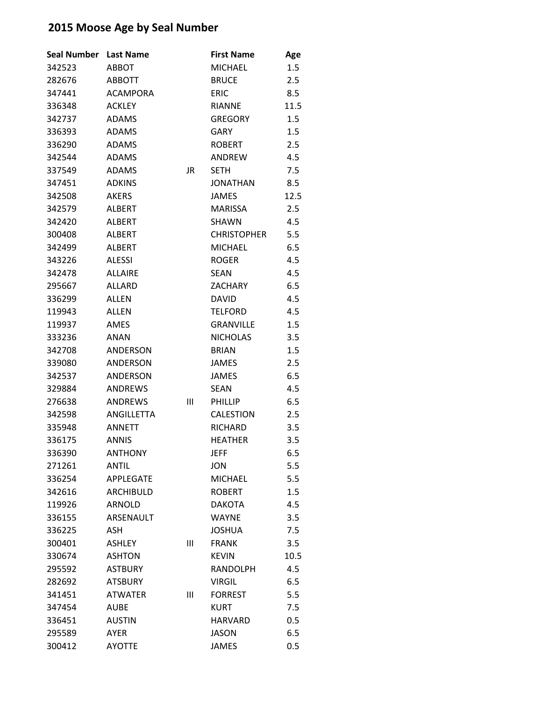| <b>Seal Number</b> | <b>Last Name</b> |    | <b>First Name</b>  | Age  |
|--------------------|------------------|----|--------------------|------|
| 342523             | <b>ABBOT</b>     |    | <b>MICHAEL</b>     | 1.5  |
| 282676             | <b>ABBOTT</b>    |    | <b>BRUCE</b>       | 2.5  |
| 347441             | <b>ACAMPORA</b>  |    | <b>ERIC</b>        | 8.5  |
| 336348             | <b>ACKLEY</b>    |    | <b>RIANNE</b>      | 11.5 |
| 342737             | <b>ADAMS</b>     |    | <b>GREGORY</b>     | 1.5  |
| 336393             | <b>ADAMS</b>     |    | <b>GARY</b>        | 1.5  |
| 336290             | <b>ADAMS</b>     |    | <b>ROBERT</b>      | 2.5  |
| 342544             | <b>ADAMS</b>     |    | <b>ANDREW</b>      | 4.5  |
| 337549             | <b>ADAMS</b>     | JR | <b>SFTH</b>        | 7.5  |
| 347451             | <b>ADKINS</b>    |    | <b>JONATHAN</b>    | 8.5  |
| 342508             | <b>AKERS</b>     |    | <b>JAMES</b>       | 12.5 |
| 342579             | ALBERT           |    | <b>MARISSA</b>     | 2.5  |
| 342420             | <b>ALBERT</b>    |    | <b>SHAWN</b>       | 4.5  |
| 300408             | <b>ALBERT</b>    |    | <b>CHRISTOPHER</b> | 5.5  |
| 342499             | <b>ALBERT</b>    |    | <b>MICHAEL</b>     | 6.5  |
| 343226             | <b>ALESSI</b>    |    | <b>ROGER</b>       | 4.5  |
| 342478             | <b>ALLAIRF</b>   |    | <b>SEAN</b>        | 4.5  |
| 295667             | <b>ALLARD</b>    |    | <b>ZACHARY</b>     | 6.5  |
| 336299             | ALLEN            |    | <b>DAVID</b>       | 4.5  |
| 119943             | <b>ALLEN</b>     |    | <b>TELFORD</b>     | 4.5  |
| 119937             | AMES             |    | <b>GRANVILLE</b>   | 1.5  |
| 333236             | <b>ANAN</b>      |    | <b>NICHOLAS</b>    | 3.5  |
| 342708             | ANDERSON         |    | <b>BRIAN</b>       | 1.5  |
| 339080             | <b>ANDERSON</b>  |    | JAMES              | 2.5  |
| 342537             | <b>ANDERSON</b>  |    | <b>JAMES</b>       | 6.5  |
| 329884             | <b>ANDREWS</b>   |    | <b>SEAN</b>        | 4.5  |
| 276638             | <b>ANDREWS</b>   | Ш  | <b>PHILLIP</b>     | 6.5  |
| 342598             | ANGILLETTA       |    | <b>CALESTION</b>   | 2.5  |
| 335948             | <b>ANNETT</b>    |    | <b>RICHARD</b>     | 3.5  |
| 336175             | <b>ANNIS</b>     |    | <b>HEATHER</b>     | 3.5  |
| 336390             | <b>ANTHONY</b>   |    | JEFF               | 6.5  |
| 271261             | ANTIL            |    | <b>JON</b>         | 5.5  |
| 336254             | <b>APPLEGATE</b> |    | <b>MICHAEL</b>     | 5.5  |
| 342616             | ARCHIBULD        |    | <b>ROBERT</b>      | 1.5  |
| 119926             | <b>ARNOLD</b>    |    | <b>DAKOTA</b>      | 4.5  |
| 336155             | ARSENAULT        |    | <b>WAYNE</b>       | 3.5  |
| 336225             | ASH              |    | <b>JOSHUA</b>      | 7.5  |
| 300401             | <b>ASHLEY</b>    | Ш  | <b>FRANK</b>       | 3.5  |
| 330674             | <b>ASHTON</b>    |    | <b>KEVIN</b>       | 10.5 |
| 295592             | <b>ASTBURY</b>   |    | <b>RANDOLPH</b>    | 4.5  |
| 282692             | <b>ATSBURY</b>   |    | <b>VIRGIL</b>      | 6.5  |
| 341451             | <b>ATWATER</b>   | Ш  | <b>FORREST</b>     | 5.5  |
| 347454             | AUBE             |    | <b>KURT</b>        | 7.5  |
| 336451             | <b>AUSTIN</b>    |    | <b>HARVARD</b>     | 0.5  |
| 295589             | AYER             |    | <b>JASON</b>       | 6.5  |
| 300412             | <b>AYOTTE</b>    |    | <b>JAMES</b>       | 0.5  |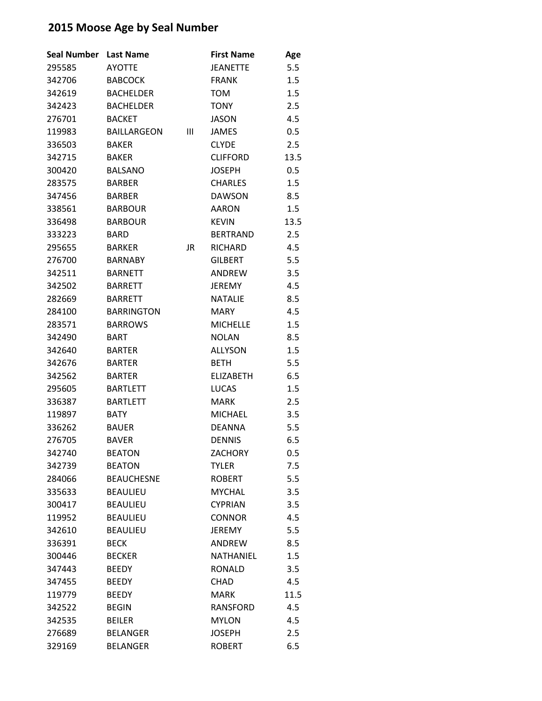| <b>Seal Number</b> | <b>Last Name</b>   |    | <b>First Name</b> | Age  |
|--------------------|--------------------|----|-------------------|------|
| 295585             | <b>AYOTTE</b>      |    | JEANETTE          | 5.5  |
| 342706             | <b>BABCOCK</b>     |    | <b>FRANK</b>      | 1.5  |
| 342619             | <b>BACHELDER</b>   |    | <b>TOM</b>        | 1.5  |
| 342423             | <b>BACHELDER</b>   |    | <b>TONY</b>       | 2.5  |
| 276701             | <b>BACKET</b>      |    | <b>JASON</b>      | 4.5  |
| 119983             | <b>BAILLARGEON</b> | Ш  | <b>JAMES</b>      | 0.5  |
| 336503             | <b>BAKER</b>       |    | <b>CLYDE</b>      | 2.5  |
| 342715             | <b>BAKER</b>       |    | <b>CLIFFORD</b>   | 13.5 |
| 300420             | <b>BALSANO</b>     |    | <b>JOSEPH</b>     | 0.5  |
| 283575             | <b>BARBER</b>      |    | <b>CHARLES</b>    | 1.5  |
| 347456             | <b>BARBER</b>      |    | <b>DAWSON</b>     | 8.5  |
| 338561             | <b>BARBOUR</b>     |    | <b>AARON</b>      | 1.5  |
| 336498             | <b>BARBOUR</b>     |    | <b>KEVIN</b>      | 13.5 |
| 333223             | <b>BARD</b>        |    | <b>BERTRAND</b>   | 2.5  |
| 295655             | <b>BARKER</b>      | JR | <b>RICHARD</b>    | 4.5  |
| 276700             | <b>BARNABY</b>     |    | <b>GILBERT</b>    | 5.5  |
| 342511             | <b>BARNETT</b>     |    | ANDREW            | 3.5  |
| 342502             | <b>BARRETT</b>     |    | <b>JEREMY</b>     | 4.5  |
| 282669             | <b>BARRETT</b>     |    | <b>NATALIE</b>    | 8.5  |
| 284100             | <b>BARRINGTON</b>  |    | <b>MARY</b>       | 4.5  |
| 283571             | <b>BARROWS</b>     |    | <b>MICHELLE</b>   | 1.5  |
| 342490             | <b>BART</b>        |    | <b>NOLAN</b>      | 8.5  |
| 342640             | <b>BARTER</b>      |    | <b>ALLYSON</b>    | 1.5  |
| 342676             | <b>BARTER</b>      |    | <b>BETH</b>       | 5.5  |
| 342562             | <b>BARTER</b>      |    | <b>ELIZABETH</b>  | 6.5  |
| 295605             | <b>BARTLETT</b>    |    | <b>LUCAS</b>      | 1.5  |
| 336387             | <b>BARTLETT</b>    |    | <b>MARK</b>       | 2.5  |
| 119897             | <b>BATY</b>        |    | <b>MICHAEL</b>    | 3.5  |
| 336262             | <b>BAUER</b>       |    | <b>DEANNA</b>     | 5.5  |
| 276705             | <b>BAVER</b>       |    | <b>DENNIS</b>     | 6.5  |
| 342740             | <b>BEATON</b>      |    | <b>ZACHORY</b>    | 0.5  |
| 342739             | <b>BEATON</b>      |    | <b>TYLER</b>      | 7.5  |
| 284066             | <b>BEAUCHESNE</b>  |    | <b>ROBERT</b>     | 5.5  |
| 335633             | <b>BEAULIEU</b>    |    | <b>MYCHAL</b>     | 3.5  |
| 300417             | <b>BEAULIEU</b>    |    | <b>CYPRIAN</b>    | 3.5  |
| 119952             | <b>BEAULIEU</b>    |    | <b>CONNOR</b>     | 4.5  |
| 342610             | <b>BEAULIEU</b>    |    | <b>JEREMY</b>     | 5.5  |
| 336391             | <b>BECK</b>        |    | ANDREW            | 8.5  |
| 300446             | <b>BECKER</b>      |    | NATHANIEL         | 1.5  |
| 347443             | <b>BEEDY</b>       |    | <b>RONALD</b>     | 3.5  |
| 347455             | <b>BEEDY</b>       |    | <b>CHAD</b>       | 4.5  |
| 119779             | <b>BEEDY</b>       |    | <b>MARK</b>       | 11.5 |
| 342522             | <b>BEGIN</b>       |    | <b>RANSFORD</b>   | 4.5  |
| 342535             | <b>BEILER</b>      |    | <b>MYLON</b>      | 4.5  |
| 276689             | <b>BELANGER</b>    |    | <b>JOSEPH</b>     | 2.5  |
| 329169             | <b>BELANGER</b>    |    | <b>ROBERT</b>     | 6.5  |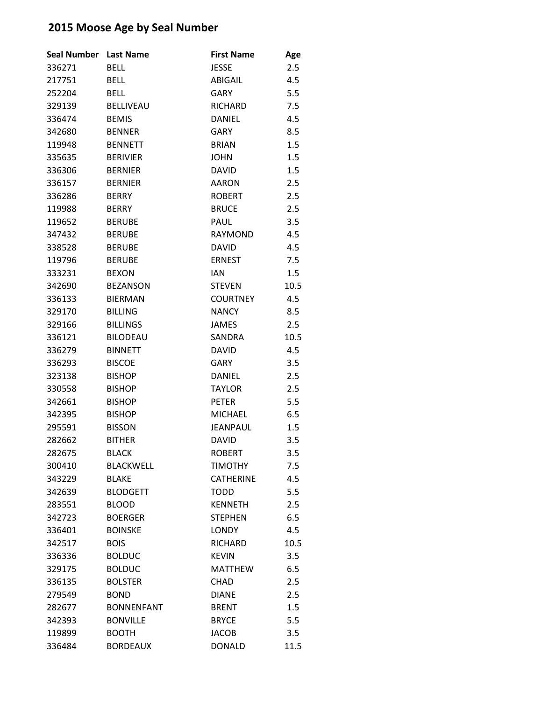| <b>Seal Number</b> | <b>Last Name</b>  | <b>First Name</b> | Age  |
|--------------------|-------------------|-------------------|------|
| 336271             | <b>BELL</b>       | JESSE             | 2.5  |
| 217751             | <b>BELL</b>       | ABIGAIL           | 4.5  |
| 252204             | <b>BELL</b>       | <b>GARY</b>       | 5.5  |
| 329139             | <b>BELLIVEAU</b>  | <b>RICHARD</b>    | 7.5  |
| 336474             | <b>BEMIS</b>      | <b>DANIEL</b>     | 4.5  |
| 342680             | <b>BENNER</b>     | <b>GARY</b>       | 8.5  |
| 119948             | <b>BENNETT</b>    | <b>BRIAN</b>      | 1.5  |
| 335635             | <b>BERIVIER</b>   | <b>JOHN</b>       | 1.5  |
| 336306             | <b>BERNIER</b>    | <b>DAVID</b>      | 1.5  |
| 336157             | <b>BERNIER</b>    | <b>AARON</b>      | 2.5  |
| 336286             | <b>BERRY</b>      | <b>ROBERT</b>     | 2.5  |
| 119988             | <b>BERRY</b>      | <b>BRUCE</b>      | 2.5  |
| 119652             | <b>BERUBE</b>     | PAUL              | 3.5  |
| 347432             | <b>BERUBE</b>     | <b>RAYMOND</b>    | 4.5  |
| 338528             | <b>BERUBE</b>     | <b>DAVID</b>      | 4.5  |
| 119796             | <b>BERUBE</b>     | <b>ERNEST</b>     | 7.5  |
| 333231             | <b>BEXON</b>      | <b>IAN</b>        | 1.5  |
| 342690             | <b>BEZANSON</b>   | <b>STEVEN</b>     | 10.5 |
| 336133             | <b>BIERMAN</b>    | <b>COURTNEY</b>   | 4.5  |
| 329170             | <b>BILLING</b>    | <b>NANCY</b>      | 8.5  |
| 329166             | <b>BILLINGS</b>   | <b>JAMES</b>      | 2.5  |
| 336121             | <b>BILODEAU</b>   | SANDRA            | 10.5 |
| 336279             | <b>BINNETT</b>    | <b>DAVID</b>      | 4.5  |
| 336293             | <b>BISCOE</b>     | <b>GARY</b>       | 3.5  |
| 323138             | <b>BISHOP</b>     | <b>DANIEL</b>     | 2.5  |
| 330558             | <b>BISHOP</b>     | <b>TAYLOR</b>     | 2.5  |
| 342661             | <b>BISHOP</b>     | <b>PETER</b>      | 5.5  |
| 342395             | <b>BISHOP</b>     | <b>MICHAEL</b>    | 6.5  |
| 295591             | <b>BISSON</b>     | JEANPAUL          | 1.5  |
| 282662             | <b>BITHER</b>     | <b>DAVID</b>      | 3.5  |
| 282675             | <b>BLACK</b>      | <b>ROBERT</b>     | 3.5  |
| 300410             | <b>BLACKWELL</b>  | <b>TIMOTHY</b>    | 7.5  |
| 343229             | <b>BLAKE</b>      | <b>CATHERINE</b>  | 4.5  |
| 342639             | <b>BLODGETT</b>   | <b>TODD</b>       | 5.5  |
| 283551             | <b>BLOOD</b>      | <b>KENNETH</b>    | 2.5  |
| 342723             | <b>BOERGER</b>    | <b>STEPHEN</b>    | 6.5  |
| 336401             | <b>BOINSKE</b>    | <b>LONDY</b>      | 4.5  |
| 342517             | <b>BOIS</b>       | <b>RICHARD</b>    | 10.5 |
| 336336             | <b>BOLDUC</b>     | <b>KEVIN</b>      | 3.5  |
| 329175             | <b>BOLDUC</b>     | <b>MATTHEW</b>    | 6.5  |
| 336135             | <b>BOLSTER</b>    | <b>CHAD</b>       | 2.5  |
| 279549             | <b>BOND</b>       | <b>DIANE</b>      | 2.5  |
| 282677             | <b>BONNENFANT</b> | <b>BRENT</b>      | 1.5  |
| 342393             | <b>BONVILLE</b>   | <b>BRYCE</b>      | 5.5  |
| 119899             | <b>BOOTH</b>      | <b>JACOB</b>      | 3.5  |
| 336484             | <b>BORDEAUX</b>   | <b>DONALD</b>     | 11.5 |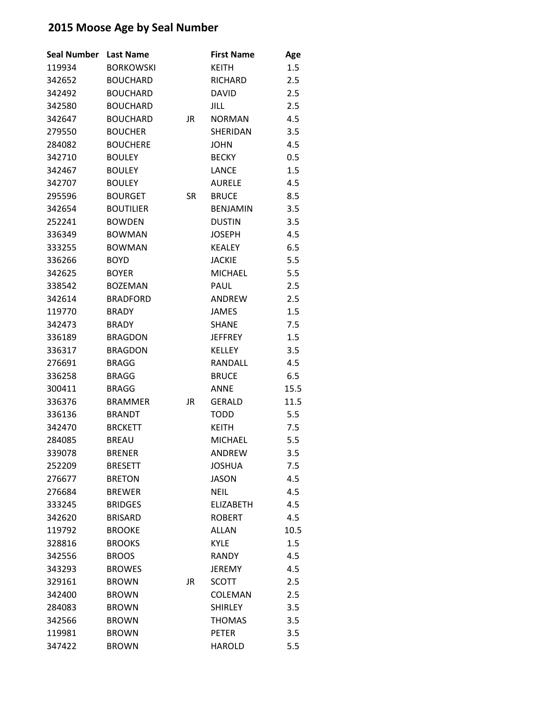| <b>Seal Number</b> | <b>Last Name</b> |    | <b>First Name</b> | Age  |
|--------------------|------------------|----|-------------------|------|
| 119934             | <b>BORKOWSKI</b> |    | <b>KEITH</b>      | 1.5  |
| 342652             | <b>BOUCHARD</b>  |    | <b>RICHARD</b>    | 2.5  |
| 342492             | <b>BOUCHARD</b>  |    | <b>DAVID</b>      | 2.5  |
| 342580             | <b>BOUCHARD</b>  |    | JILL              | 2.5  |
| 342647             | <b>BOUCHARD</b>  | JR | <b>NORMAN</b>     | 4.5  |
| 279550             | <b>BOUCHER</b>   |    | SHERIDAN          | 3.5  |
| 284082             | <b>BOUCHERE</b>  |    | <b>JOHN</b>       | 4.5  |
| 342710             | <b>BOULEY</b>    |    | <b>BECKY</b>      | 0.5  |
| 342467             | <b>BOULEY</b>    |    | <b>LANCE</b>      | 1.5  |
| 342707             | <b>BOULEY</b>    |    | <b>AURELE</b>     | 4.5  |
| 295596             | <b>BOURGET</b>   | SR | <b>BRUCE</b>      | 8.5  |
| 342654             | <b>BOUTILIER</b> |    | <b>BENJAMIN</b>   | 3.5  |
| 252241             | <b>BOWDEN</b>    |    | <b>DUSTIN</b>     | 3.5  |
| 336349             | <b>BOWMAN</b>    |    | <b>JOSEPH</b>     | 4.5  |
| 333255             | <b>BOWMAN</b>    |    | <b>KEALEY</b>     | 6.5  |
| 336266             | <b>BOYD</b>      |    | <b>JACKIE</b>     | 5.5  |
| 342625             | <b>BOYER</b>     |    | <b>MICHAEL</b>    | 5.5  |
| 338542             | <b>BOZEMAN</b>   |    | PAUL              | 2.5  |
| 342614             | <b>BRADFORD</b>  |    | <b>ANDREW</b>     | 2.5  |
| 119770             | <b>BRADY</b>     |    | JAMES             | 1.5  |
| 342473             | <b>BRADY</b>     |    | <b>SHANE</b>      | 7.5  |
| 336189             | <b>BRAGDON</b>   |    | <b>JEFFREY</b>    | 1.5  |
| 336317             | <b>BRAGDON</b>   |    | <b>KELLEY</b>     | 3.5  |
| 276691             | <b>BRAGG</b>     |    | RANDALL           | 4.5  |
| 336258             | <b>BRAGG</b>     |    | <b>BRUCE</b>      | 6.5  |
| 300411             | <b>BRAGG</b>     |    | ANNE              | 15.5 |
| 336376             | <b>BRAMMER</b>   | JR | <b>GERALD</b>     | 11.5 |
| 336136             | <b>BRANDT</b>    |    | <b>TODD</b>       | 5.5  |
| 342470             | <b>BRCKETT</b>   |    | KEITH             | 7.5  |
| 284085             | <b>BREAU</b>     |    | <b>MICHAEL</b>    | 5.5  |
| 339078             | <b>BRENER</b>    |    | ANDREW            | 3.5  |
| 252209             | <b>BRESETT</b>   |    | <b>JOSHUA</b>     | 7.5  |
| 276677             | <b>BRETON</b>    |    | <b>JASON</b>      | 4.5  |
| 276684             | <b>BREWER</b>    |    | <b>NEIL</b>       | 4.5  |
| 333245             | <b>BRIDGES</b>   |    | <b>ELIZABETH</b>  | 4.5  |
| 342620             | <b>BRISARD</b>   |    | <b>ROBERT</b>     | 4.5  |
| 119792             | <b>BROOKE</b>    |    | <b>ALLAN</b>      | 10.5 |
| 328816             | <b>BROOKS</b>    |    | <b>KYLE</b>       | 1.5  |
| 342556             | <b>BROOS</b>     |    | <b>RANDY</b>      | 4.5  |
| 343293             | <b>BROWES</b>    |    | <b>JEREMY</b>     | 4.5  |
| 329161             | <b>BROWN</b>     | JR | <b>SCOTT</b>      | 2.5  |
| 342400             | <b>BROWN</b>     |    | COLEMAN           | 2.5  |
| 284083             | <b>BROWN</b>     |    | <b>SHIRLEY</b>    | 3.5  |
| 342566             | <b>BROWN</b>     |    | <b>THOMAS</b>     | 3.5  |
| 119981             | <b>BROWN</b>     |    | <b>PETER</b>      | 3.5  |
| 347422             | <b>BROWN</b>     |    | <b>HAROLD</b>     | 5.5  |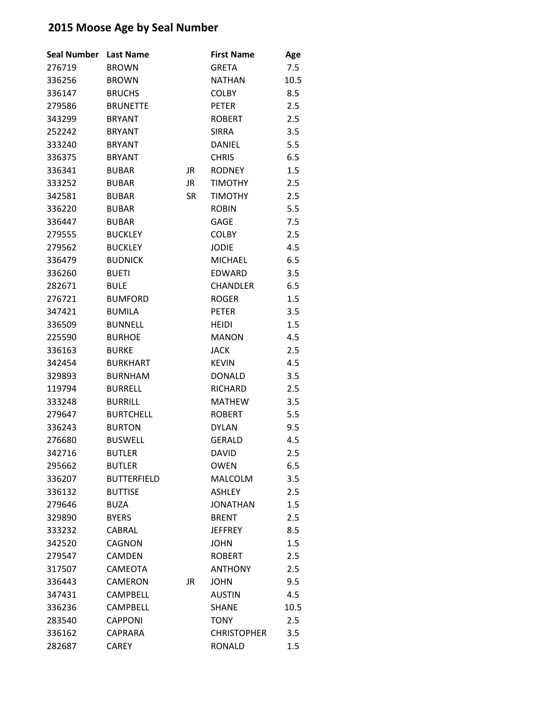| <b>Seal Number</b> | <b>Last Name</b>   |           | <b>First Name</b>  | Age  |
|--------------------|--------------------|-----------|--------------------|------|
| 276719             | <b>BROWN</b>       |           | <b>GRETA</b>       | 7.5  |
| 336256             | <b>BROWN</b>       |           | <b>NATHAN</b>      | 10.5 |
| 336147             | <b>BRUCHS</b>      |           | <b>COLBY</b>       | 8.5  |
| 279586             | <b>BRUNETTE</b>    |           | <b>PETER</b>       | 2.5  |
| 343299             | <b>BRYANT</b>      |           | <b>ROBERT</b>      | 2.5  |
| 252242             | <b>BRYANT</b>      |           | <b>SIRRA</b>       | 3.5  |
| 333240             | <b>BRYANT</b>      |           | <b>DANIEL</b>      | 5.5  |
| 336375             | <b>BRYANT</b>      |           | <b>CHRIS</b>       | 6.5  |
| 336341             | <b>BUBAR</b>       | JR        | <b>RODNEY</b>      | 1.5  |
| 333252             | <b>BUBAR</b>       | JR        | <b>TIMOTHY</b>     | 2.5  |
| 342581             | <b>BUBAR</b>       | <b>SR</b> | <b>TIMOTHY</b>     | 2.5  |
| 336220             | <b>BUBAR</b>       |           | <b>ROBIN</b>       | 5.5  |
| 336447             | <b>BUBAR</b>       |           | GAGE               | 7.5  |
| 279555             | <b>BUCKLEY</b>     |           | <b>COLBY</b>       | 2.5  |
| 279562             | <b>BUCKLEY</b>     |           | <b>JODIE</b>       | 4.5  |
| 336479             | <b>BUDNICK</b>     |           | <b>MICHAEL</b>     | 6.5  |
| 336260             | <b>BUETI</b>       |           | <b>EDWARD</b>      | 3.5  |
| 282671             | <b>BULE</b>        |           | <b>CHANDLER</b>    | 6.5  |
| 276721             | <b>BUMFORD</b>     |           | <b>ROGER</b>       | 1.5  |
| 347421             | <b>BUMILA</b>      |           | <b>PETER</b>       | 3.5  |
| 336509             | <b>BUNNELL</b>     |           | <b>HEIDI</b>       | 1.5  |
| 225590             | <b>BURHOE</b>      |           | <b>MANON</b>       | 4.5  |
| 336163             | <b>BURKE</b>       |           | <b>JACK</b>        | 2.5  |
| 342454             | <b>BURKHART</b>    |           | <b>KEVIN</b>       | 4.5  |
| 329893             | <b>BURNHAM</b>     |           | <b>DONALD</b>      | 3.5  |
| 119794             | <b>BURRELL</b>     |           | <b>RICHARD</b>     | 2.5  |
| 333248             | <b>BURRILL</b>     |           | <b>MATHEW</b>      | 3.5  |
| 279647             | <b>BURTCHELL</b>   |           | <b>ROBERT</b>      | 5.5  |
| 336243             | <b>BURTON</b>      |           | <b>DYLAN</b>       | 9.5  |
| 276680             | <b>BUSWELL</b>     |           | <b>GERALD</b>      | 4.5  |
| 342716             | <b>BUTLER</b>      |           | <b>DAVID</b>       | 2.5  |
| 295662             | <b>BUTLER</b>      |           | <b>OWEN</b>        | 6.5  |
| 336207             | <b>BUTTERFIELD</b> |           | <b>MALCOLM</b>     | 3.5  |
| 336132             | <b>BUTTISE</b>     |           | <b>ASHLEY</b>      | 2.5  |
| 279646             | <b>BUZA</b>        |           | <b>JONATHAN</b>    | 1.5  |
| 329890             | <b>BYERS</b>       |           | <b>BRENT</b>       | 2.5  |
| 333232             | CABRAL             |           | <b>JEFFREY</b>     | 8.5  |
| 342520             | <b>CAGNON</b>      |           | <b>JOHN</b>        | 1.5  |
| 279547             | <b>CAMDEN</b>      |           | <b>ROBERT</b>      | 2.5  |
| 317507             | CAMEOTA            |           | <b>ANTHONY</b>     | 2.5  |
| 336443             | <b>CAMERON</b>     | JR        | <b>JOHN</b>        | 9.5  |
| 347431             | <b>CAMPBELL</b>    |           | <b>AUSTIN</b>      | 4.5  |
| 336236             | <b>CAMPBELL</b>    |           | <b>SHANE</b>       | 10.5 |
| 283540             | <b>CAPPONI</b>     |           | <b>TONY</b>        | 2.5  |
| 336162             | <b>CAPRARA</b>     |           | <b>CHRISTOPHER</b> | 3.5  |
| 282687             | <b>CAREY</b>       |           | <b>RONALD</b>      | 1.5  |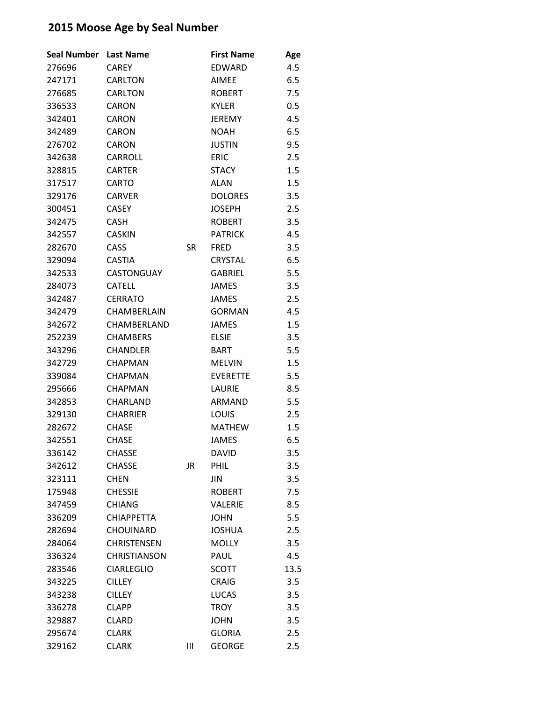| <b>Seal Number</b> | <b>Last Name</b>    |           | <b>First Name</b> | Age  |
|--------------------|---------------------|-----------|-------------------|------|
| 276696             | <b>CAREY</b>        |           | EDWARD            | 4.5  |
| 247171             | <b>CARLTON</b>      |           | <b>AIMEE</b>      | 6.5  |
| 276685             | <b>CARLTON</b>      |           | <b>ROBERT</b>     | 7.5  |
| 336533             | CARON               |           | <b>KYLER</b>      | 0.5  |
| 342401             | CARON               |           | <b>JEREMY</b>     | 4.5  |
| 342489             | CARON               |           | <b>NOAH</b>       | 6.5  |
| 276702             | <b>CARON</b>        |           | <b>JUSTIN</b>     | 9.5  |
| 342638             | <b>CARROLL</b>      |           | <b>ERIC</b>       | 2.5  |
| 328815             | <b>CARTER</b>       |           | <b>STACY</b>      | 1.5  |
| 317517             | <b>CARTO</b>        |           | <b>ALAN</b>       | 1.5  |
| 329176             | <b>CARVER</b>       |           | <b>DOLORES</b>    | 3.5  |
| 300451             | <b>CASEY</b>        |           | <b>JOSEPH</b>     | 2.5  |
| 342475             | <b>CASH</b>         |           | <b>ROBERT</b>     | 3.5  |
| 342557             | <b>CASKIN</b>       |           | <b>PATRICK</b>    | 4.5  |
| 282670             | CASS                | SR        | <b>FRED</b>       | 3.5  |
| 329094             | <b>CASTIA</b>       |           | <b>CRYSTAL</b>    | 6.5  |
| 342533             | <b>CASTONGUAY</b>   |           | <b>GABRIEL</b>    | 5.5  |
| 284073             | <b>CATELL</b>       |           | <b>JAMES</b>      | 3.5  |
| 342487             | <b>CERRATO</b>      |           | JAMES             | 2.5  |
| 342479             | CHAMBERLAIN         |           | <b>GORMAN</b>     | 4.5  |
| 342672             | CHAMBERLAND         |           | <b>JAMES</b>      | 1.5  |
| 252239             | <b>CHAMBERS</b>     |           | <b>ELSIE</b>      | 3.5  |
| 343296             | <b>CHANDLER</b>     |           | <b>BART</b>       | 5.5  |
| 342729             | <b>CHAPMAN</b>      |           | <b>MELVIN</b>     | 1.5  |
| 339084             | <b>CHAPMAN</b>      |           | <b>EVERETTE</b>   | 5.5  |
| 295666             | <b>CHAPMAN</b>      |           | LAURIE            | 8.5  |
| 342853             | CHARLAND            |           | <b>ARMAND</b>     | 5.5  |
| 329130             | <b>CHARRIER</b>     |           | LOUIS             | 2.5  |
| 282672             | <b>CHASE</b>        |           | <b>MATHEW</b>     | 1.5  |
| 342551             | <b>CHASE</b>        |           | <b>JAMES</b>      | 6.5  |
| 336142             | <b>CHASSE</b>       |           | <b>DAVID</b>      | 3.5  |
| 342612             | <b>CHASSE</b>       | <b>JR</b> | PHIL              | 3.5  |
| 323111             | <b>CHEN</b>         |           | <b>JIN</b>        | 3.5  |
| 175948             | <b>CHESSIE</b>      |           | <b>ROBERT</b>     | 7.5  |
| 347459             | <b>CHIANG</b>       |           | VALERIE           | 8.5  |
| 336209             | <b>CHIAPPETTA</b>   |           | <b>JOHN</b>       | 5.5  |
| 282694             | <b>CHOUINARD</b>    |           | <b>JOSHUA</b>     | 2.5  |
| 284064             | <b>CHRISTENSEN</b>  |           | <b>MOLLY</b>      | 3.5  |
| 336324             | <b>CHRISTIANSON</b> |           | PAUL              | 4.5  |
| 283546             | <b>CIARLEGLIO</b>   |           | <b>SCOTT</b>      | 13.5 |
| 343225             | <b>CILLEY</b>       |           | <b>CRAIG</b>      | 3.5  |
| 343238             | <b>CILLEY</b>       |           | <b>LUCAS</b>      | 3.5  |
| 336278             | <b>CLAPP</b>        |           | <b>TROY</b>       | 3.5  |
| 329887             | <b>CLARD</b>        |           | <b>JOHN</b>       | 3.5  |
| 295674             | <b>CLARK</b>        |           | <b>GLORIA</b>     | 2.5  |
| 329162             | <b>CLARK</b>        | Ш         | <b>GEORGE</b>     | 2.5  |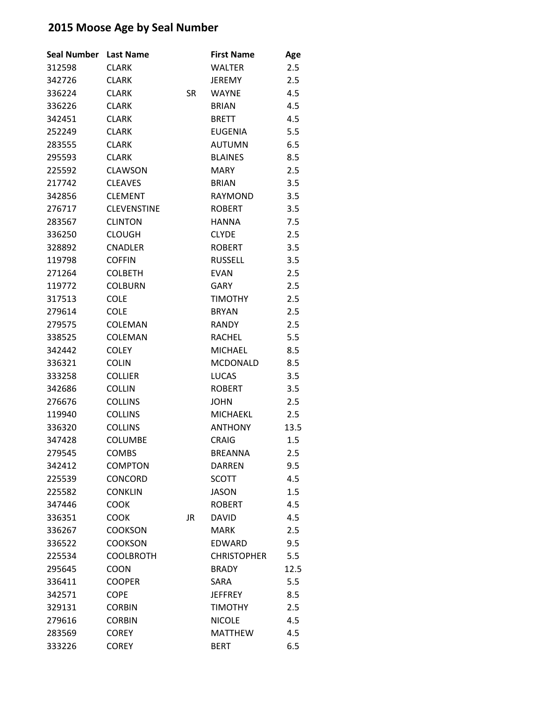| <b>Seal Number</b> | <b>Last Name</b>   |    | <b>First Name</b>  | Age  |
|--------------------|--------------------|----|--------------------|------|
| 312598             | <b>CLARK</b>       |    | WALTER             | 2.5  |
| 342726             | <b>CLARK</b>       |    | <b>JEREMY</b>      | 2.5  |
| 336224             | <b>CLARK</b>       | SR | <b>WAYNE</b>       | 4.5  |
| 336226             | <b>CLARK</b>       |    | <b>BRIAN</b>       | 4.5  |
| 342451             | <b>CLARK</b>       |    | <b>BRETT</b>       | 4.5  |
| 252249             | <b>CLARK</b>       |    | <b>EUGENIA</b>     | 5.5  |
| 283555             | <b>CLARK</b>       |    | <b>AUTUMN</b>      | 6.5  |
| 295593             | <b>CLARK</b>       |    | <b>BLAINES</b>     | 8.5  |
| 225592             | <b>CLAWSON</b>     |    | <b>MARY</b>        | 2.5  |
| 217742             | <b>CLEAVES</b>     |    | <b>BRIAN</b>       | 3.5  |
| 342856             | <b>CLEMENT</b>     |    | <b>RAYMOND</b>     | 3.5  |
| 276717             | <b>CLEVENSTINE</b> |    | <b>ROBERT</b>      | 3.5  |
| 283567             | <b>CLINTON</b>     |    | <b>HANNA</b>       | 7.5  |
| 336250             | <b>CLOUGH</b>      |    | <b>CLYDE</b>       | 2.5  |
| 328892             | <b>CNADLER</b>     |    | <b>ROBERT</b>      | 3.5  |
| 119798             | <b>COFFIN</b>      |    | <b>RUSSELL</b>     | 3.5  |
| 271264             | <b>COLBETH</b>     |    | <b>EVAN</b>        | 2.5  |
| 119772             | <b>COLBURN</b>     |    | <b>GARY</b>        | 2.5  |
| 317513             | <b>COLE</b>        |    | <b>TIMOTHY</b>     | 2.5  |
| 279614             | <b>COLE</b>        |    | <b>BRYAN</b>       | 2.5  |
| 279575             | <b>COLEMAN</b>     |    | <b>RANDY</b>       | 2.5  |
| 338525             | COLEMAN            |    | <b>RACHEL</b>      | 5.5  |
| 342442             | <b>COLEY</b>       |    | <b>MICHAEL</b>     | 8.5  |
| 336321             | <b>COLIN</b>       |    | <b>MCDONALD</b>    | 8.5  |
| 333258             | <b>COLLIER</b>     |    | <b>LUCAS</b>       | 3.5  |
| 342686             | <b>COLLIN</b>      |    | <b>ROBERT</b>      | 3.5  |
| 276676             | <b>COLLINS</b>     |    | <b>JOHN</b>        | 2.5  |
| 119940             | <b>COLLINS</b>     |    | <b>MICHAEKL</b>    | 2.5  |
| 336320             | <b>COLLINS</b>     |    | <b>ANTHONY</b>     | 13.5 |
| 347428             | <b>COLUMBE</b>     |    | <b>CRAIG</b>       | 1.5  |
| 279545             | <b>COMBS</b>       |    | <b>BREANNA</b>     | 2.5  |
| 342412             | <b>COMPTON</b>     |    | <b>DARREN</b>      | 9.5  |
| 225539             | CONCORD            |    | SCOTT              | 4.5  |
| 225582             | <b>CONKLIN</b>     |    | <b>JASON</b>       | 1.5  |
| 347446             | <b>COOK</b>        |    | <b>ROBERT</b>      | 4.5  |
| 336351             | <b>COOK</b>        | JR | <b>DAVID</b>       | 4.5  |
| 336267             | <b>COOKSON</b>     |    | <b>MARK</b>        | 2.5  |
| 336522             | <b>COOKSON</b>     |    | <b>EDWARD</b>      | 9.5  |
| 225534             | <b>COOLBROTH</b>   |    | <b>CHRISTOPHER</b> | 5.5  |
| 295645             | <b>COON</b>        |    | <b>BRADY</b>       | 12.5 |
| 336411             | <b>COOPER</b>      |    | SARA               | 5.5  |
| 342571             | <b>COPE</b>        |    | <b>JEFFREY</b>     | 8.5  |
| 329131             | <b>CORBIN</b>      |    | <b>TIMOTHY</b>     | 2.5  |
| 279616             | <b>CORBIN</b>      |    | <b>NICOLE</b>      | 4.5  |
| 283569             | <b>COREY</b>       |    | <b>MATTHEW</b>     | 4.5  |
| 333226             | <b>COREY</b>       |    | <b>BERT</b>        | 6.5  |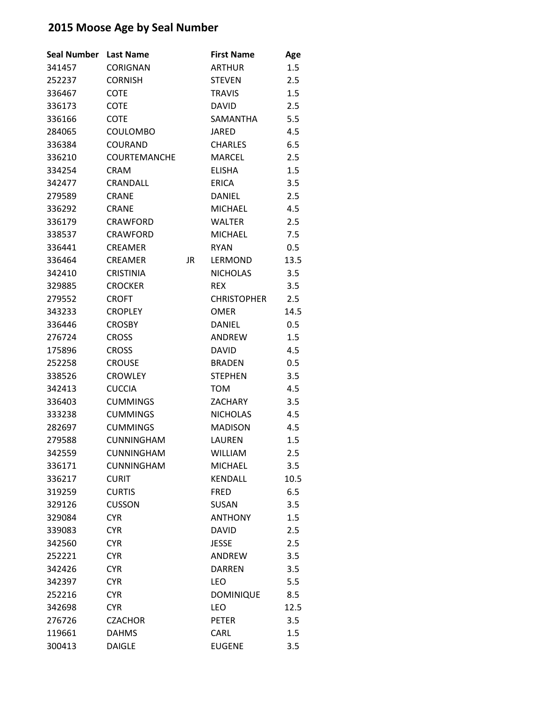| <b>Seal Number</b> | <b>Last Name</b>    |           | <b>First Name</b>  | Age     |
|--------------------|---------------------|-----------|--------------------|---------|
| 341457             | <b>CORIGNAN</b>     |           | <b>ARTHUR</b>      | 1.5     |
| 252237             | <b>CORNISH</b>      |           | <b>STEVEN</b>      | 2.5     |
| 336467             | <b>COTE</b>         |           | <b>TRAVIS</b>      | 1.5     |
| 336173             | COTE                |           | <b>DAVID</b>       | 2.5     |
| 336166             | <b>COTE</b>         |           | SAMANTHA           | 5.5     |
| 284065             | <b>COULOMBO</b>     |           | <b>JARED</b>       | 4.5     |
| 336384             | <b>COURAND</b>      |           | <b>CHARLES</b>     | 6.5     |
| 336210             | <b>COURTEMANCHE</b> |           | <b>MARCEL</b>      | 2.5     |
| 334254             | <b>CRAM</b>         |           | <b>ELISHA</b>      | 1.5     |
| 342477             | CRANDALL            |           | <b>ERICA</b>       | 3.5     |
| 279589             | <b>CRANE</b>        |           | <b>DANIEL</b>      | 2.5     |
| 336292             | <b>CRANE</b>        |           | <b>MICHAEL</b>     | 4.5     |
| 336179             | <b>CRAWFORD</b>     |           | <b>WALTER</b>      | 2.5     |
| 338537             | <b>CRAWFORD</b>     |           | <b>MICHAEL</b>     | 7.5     |
| 336441             | <b>CREAMER</b>      |           | <b>RYAN</b>        | 0.5     |
| 336464             | <b>CREAMER</b>      | <b>JR</b> | <b>LERMOND</b>     | 13.5    |
| 342410             | <b>CRISTINIA</b>    |           | <b>NICHOLAS</b>    | 3.5     |
| 329885             | <b>CROCKER</b>      |           | <b>REX</b>         | 3.5     |
| 279552             | <b>CROFT</b>        |           | <b>CHRISTOPHER</b> | 2.5     |
| 343233             | <b>CROPLEY</b>      |           | <b>OMER</b>        | 14.5    |
| 336446             | <b>CROSBY</b>       |           | <b>DANIEL</b>      | 0.5     |
| 276724             | <b>CROSS</b>        |           | ANDREW             | 1.5     |
| 175896             | <b>CROSS</b>        |           | <b>DAVID</b>       | 4.5     |
| 252258             | <b>CROUSE</b>       |           | <b>BRADEN</b>      | $0.5\,$ |
| 338526             | <b>CROWLEY</b>      |           | <b>STEPHEN</b>     | 3.5     |
| 342413             | <b>CUCCIA</b>       |           | <b>TOM</b>         | 4.5     |
| 336403             | <b>CUMMINGS</b>     |           | <b>ZACHARY</b>     | 3.5     |
| 333238             | <b>CUMMINGS</b>     |           | <b>NICHOLAS</b>    | 4.5     |
| 282697             | <b>CUMMINGS</b>     |           | <b>MADISON</b>     | 4.5     |
| 279588             | <b>CUNNINGHAM</b>   |           | LAUREN             | 1.5     |
| 342559             | <b>CUNNINGHAM</b>   |           | <b>WILLIAM</b>     | 2.5     |
| 336171             | <b>CUNNINGHAM</b>   |           | <b>MICHAEL</b>     | 3.5     |
| 336217             | <b>CURIT</b>        |           | <b>KENDALL</b>     | 10.5    |
| 319259             | <b>CURTIS</b>       |           | <b>FRED</b>        | 6.5     |
| 329126             | <b>CUSSON</b>       |           | <b>SUSAN</b>       | 3.5     |
| 329084             | <b>CYR</b>          |           | <b>ANTHONY</b>     | 1.5     |
| 339083             | <b>CYR</b>          |           | <b>DAVID</b>       | 2.5     |
| 342560             | <b>CYR</b>          |           | JESSE              | 2.5     |
| 252221             | <b>CYR</b>          |           | <b>ANDREW</b>      | 3.5     |
| 342426             | <b>CYR</b>          |           | <b>DARREN</b>      | 3.5     |
| 342397             | <b>CYR</b>          |           | <b>LEO</b>         | 5.5     |
| 252216             | <b>CYR</b>          |           | <b>DOMINIQUE</b>   | 8.5     |
| 342698             | <b>CYR</b>          |           | LEO                | 12.5    |
| 276726             | <b>CZACHOR</b>      |           | <b>PETER</b>       | 3.5     |
| 119661             | <b>DAHMS</b>        |           | CARL               | 1.5     |
| 300413             | <b>DAIGLE</b>       |           | <b>EUGENE</b>      | 3.5     |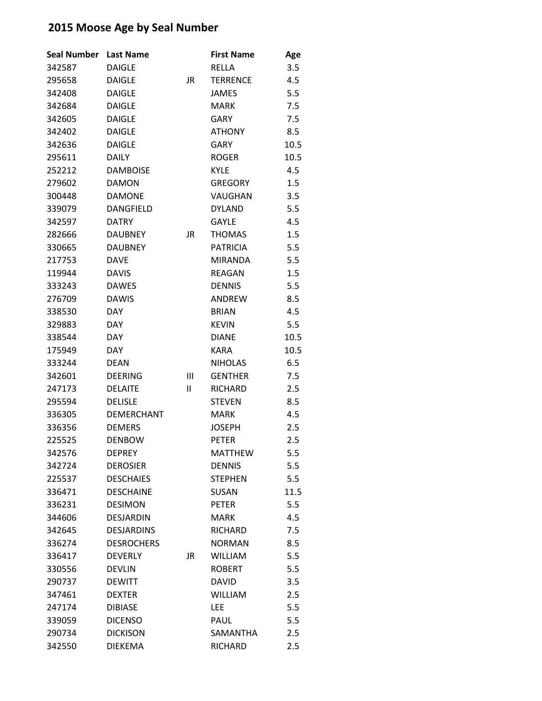| <b>Seal Number</b> | <b>Last Name</b>  |    | <b>First Name</b> | Age  |
|--------------------|-------------------|----|-------------------|------|
| 342587             | <b>DAIGLE</b>     |    | RELLA             | 3.5  |
| 295658             | <b>DAIGLE</b>     | JR | <b>TERRENCE</b>   | 4.5  |
| 342408             | <b>DAIGLE</b>     |    | <b>JAMES</b>      | 5.5  |
| 342684             | <b>DAIGLE</b>     |    | <b>MARK</b>       | 7.5  |
| 342605             | DAIGLE            |    | <b>GARY</b>       | 7.5  |
| 342402             | <b>DAIGLE</b>     |    | <b>ATHONY</b>     | 8.5  |
| 342636             | <b>DAIGLE</b>     |    | <b>GARY</b>       | 10.5 |
| 295611             | <b>DAILY</b>      |    | <b>ROGER</b>      | 10.5 |
| 252212             | <b>DAMBOISE</b>   |    | <b>KYLE</b>       | 4.5  |
| 279602             | <b>DAMON</b>      |    | <b>GREGORY</b>    | 1.5  |
| 300448             | <b>DAMONE</b>     |    | VAUGHAN           | 3.5  |
| 339079             | <b>DANGFIELD</b>  |    | <b>DYLAND</b>     | 5.5  |
| 342597             | <b>DATRY</b>      |    | <b>GAYLE</b>      | 4.5  |
| 282666             | <b>DAUBNEY</b>    | JR | <b>THOMAS</b>     | 1.5  |
| 330665             | <b>DAUBNEY</b>    |    | <b>PATRICIA</b>   | 5.5  |
| 217753             | <b>DAVE</b>       |    | <b>MIRANDA</b>    | 5.5  |
| 119944             | <b>DAVIS</b>      |    | <b>REAGAN</b>     | 1.5  |
| 333243             | <b>DAWES</b>      |    | <b>DENNIS</b>     | 5.5  |
| 276709             | <b>DAWIS</b>      |    | ANDREW            | 8.5  |
| 338530             | <b>DAY</b>        |    | <b>BRIAN</b>      | 4.5  |
| 329883             | <b>DAY</b>        |    | <b>KEVIN</b>      | 5.5  |
| 338544             | <b>DAY</b>        |    | <b>DIANE</b>      | 10.5 |
| 175949             | <b>DAY</b>        |    | <b>KARA</b>       | 10.5 |
| 333244             | <b>DEAN</b>       |    | <b>NIHOLAS</b>    | 6.5  |
| 342601             | <b>DEERING</b>    | Ш  | <b>GENTHER</b>    | 7.5  |
| 247173             | <b>DELAITE</b>    | Ш  | <b>RICHARD</b>    | 2.5  |
| 295594             | <b>DELISLE</b>    |    | <b>STEVEN</b>     | 8.5  |
| 336305             | <b>DEMERCHANT</b> |    | <b>MARK</b>       | 4.5  |
| 336356             | <b>DEMERS</b>     |    | JOSEPH            | 2.5  |
| 225525             | <b>DENBOW</b>     |    | <b>PETER</b>      | 2.5  |
| 342576             | <b>DEPREY</b>     |    | <b>MATTHEW</b>    | 5.5  |
| 342724             | <b>DEROSIER</b>   |    | <b>DENNIS</b>     | 5.5  |
| 225537             | <b>DESCHAIES</b>  |    | <b>STEPHEN</b>    | 5.5  |
| 336471             | <b>DESCHAINE</b>  |    | <b>SUSAN</b>      | 11.5 |
| 336231             | <b>DESIMON</b>    |    | <b>PETER</b>      | 5.5  |
| 344606             | DESJARDIN         |    | <b>MARK</b>       | 4.5  |
| 342645             | <b>DESJARDINS</b> |    | <b>RICHARD</b>    | 7.5  |
| 336274             | <b>DESROCHERS</b> |    | <b>NORMAN</b>     | 8.5  |
| 336417             | <b>DEVERLY</b>    | JR | <b>WILLIAM</b>    | 5.5  |
| 330556             | <b>DEVLIN</b>     |    | <b>ROBERT</b>     | 5.5  |
| 290737             | <b>DEWITT</b>     |    | <b>DAVID</b>      | 3.5  |
| 347461             | <b>DEXTER</b>     |    | <b>WILLIAM</b>    | 2.5  |
| 247174             | <b>DIBIASE</b>    |    | <b>LEE</b>        | 5.5  |
| 339059             | <b>DICENSO</b>    |    | PAUL              | 5.5  |
| 290734             | <b>DICKISON</b>   |    | SAMANTHA          | 2.5  |
| 342550             | <b>DIEKEMA</b>    |    | <b>RICHARD</b>    | 2.5  |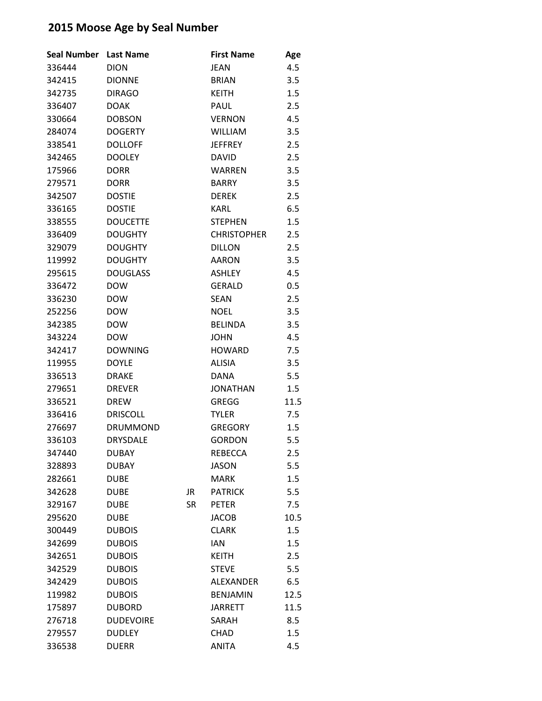| <b>Seal Number</b> | <b>Last Name</b> |           | <b>First Name</b>  | Age  |
|--------------------|------------------|-----------|--------------------|------|
| 336444             | <b>DION</b>      |           | JEAN               | 4.5  |
| 342415             | <b>DIONNE</b>    |           | <b>BRIAN</b>       | 3.5  |
| 342735             | <b>DIRAGO</b>    |           | <b>KEITH</b>       | 1.5  |
| 336407             | <b>DOAK</b>      |           | PAUL               | 2.5  |
| 330664             | <b>DOBSON</b>    |           | <b>VERNON</b>      | 4.5  |
| 284074             | <b>DOGERTY</b>   |           | <b>WILLIAM</b>     | 3.5  |
| 338541             | <b>DOLLOFF</b>   |           | <b>JEFFREY</b>     | 2.5  |
| 342465             | <b>DOOLEY</b>    |           | <b>DAVID</b>       | 2.5  |
| 175966             | <b>DORR</b>      |           | <b>WARREN</b>      | 3.5  |
| 279571             | <b>DORR</b>      |           | <b>BARRY</b>       | 3.5  |
| 342507             | <b>DOSTIE</b>    |           | <b>DEREK</b>       | 2.5  |
| 336165             | <b>DOSTIE</b>    |           | <b>KARL</b>        | 6.5  |
| 338555             | <b>DOUCETTE</b>  |           | <b>STEPHEN</b>     | 1.5  |
| 336409             | <b>DOUGHTY</b>   |           | <b>CHRISTOPHER</b> | 2.5  |
| 329079             | <b>DOUGHTY</b>   |           | <b>DILLON</b>      | 2.5  |
| 119992             | <b>DOUGHTY</b>   |           | <b>AARON</b>       | 3.5  |
| 295615             | <b>DOUGLASS</b>  |           | <b>ASHLEY</b>      | 4.5  |
| 336472             | <b>DOW</b>       |           | <b>GERALD</b>      | 0.5  |
| 336230             | <b>DOW</b>       |           | <b>SEAN</b>        | 2.5  |
| 252256             | <b>DOW</b>       |           | <b>NOEL</b>        | 3.5  |
| 342385             | <b>DOW</b>       |           | <b>BELINDA</b>     | 3.5  |
| 343224             | <b>DOW</b>       |           | <b>JOHN</b>        | 4.5  |
| 342417             | <b>DOWNING</b>   |           | <b>HOWARD</b>      | 7.5  |
| 119955             | <b>DOYLE</b>     |           | <b>ALISIA</b>      | 3.5  |
| 336513             | <b>DRAKE</b>     |           | <b>DANA</b>        | 5.5  |
| 279651             | <b>DREVER</b>    |           | <b>JONATHAN</b>    | 1.5  |
| 336521             | <b>DREW</b>      |           | <b>GREGG</b>       | 11.5 |
| 336416             | <b>DRISCOLL</b>  |           | <b>TYLER</b>       | 7.5  |
| 276697             | <b>DRUMMOND</b>  |           | <b>GREGORY</b>     | 1.5  |
| 336103             | <b>DRYSDALE</b>  |           | <b>GORDON</b>      | 5.5  |
| 347440             | <b>DUBAY</b>     |           | <b>REBECCA</b>     | 2.5  |
| 328893             | <b>DUBAY</b>     |           | <b>JASON</b>       | 5.5  |
| 282661             | <b>DUBE</b>      |           | <b>MARK</b>        | 1.5  |
| 342628             | <b>DUBE</b>      | JR        | <b>PATRICK</b>     | 5.5  |
| 329167             | <b>DUBE</b>      | <b>SR</b> | <b>PETER</b>       | 7.5  |
| 295620             | <b>DUBE</b>      |           | <b>JACOB</b>       | 10.5 |
| 300449             | <b>DUBOIS</b>    |           | <b>CLARK</b>       | 1.5  |
| 342699             | <b>DUBOIS</b>    |           | <b>IAN</b>         | 1.5  |
| 342651             | <b>DUBOIS</b>    |           | <b>KEITH</b>       | 2.5  |
| 342529             | <b>DUBOIS</b>    |           | <b>STEVE</b>       | 5.5  |
| 342429             | <b>DUBOIS</b>    |           | <b>ALEXANDER</b>   | 6.5  |
| 119982             | <b>DUBOIS</b>    |           | <b>BENJAMIN</b>    | 12.5 |
| 175897             | <b>DUBORD</b>    |           | <b>JARRETT</b>     | 11.5 |
| 276718             | <b>DUDEVOIRE</b> |           | SARAH              | 8.5  |
| 279557             | <b>DUDLEY</b>    |           | CHAD               | 1.5  |
| 336538             | <b>DUERR</b>     |           | <b>ANITA</b>       | 4.5  |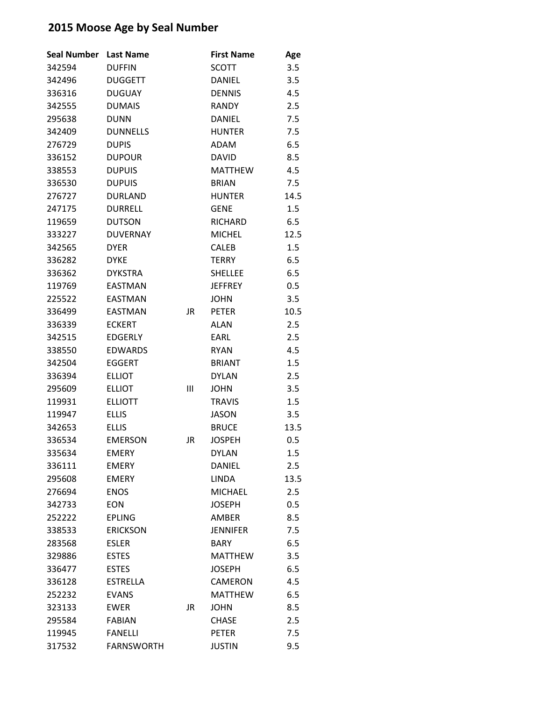| <b>Seal Number</b> | <b>Last Name</b>  |    | <b>First Name</b> | Age  |
|--------------------|-------------------|----|-------------------|------|
| 342594             | <b>DUFFIN</b>     |    | <b>SCOTT</b>      | 3.5  |
| 342496             | <b>DUGGETT</b>    |    | <b>DANIEL</b>     | 3.5  |
| 336316             | <b>DUGUAY</b>     |    | <b>DENNIS</b>     | 4.5  |
| 342555             | <b>DUMAIS</b>     |    | <b>RANDY</b>      | 2.5  |
| 295638             | <b>DUNN</b>       |    | <b>DANIEL</b>     | 7.5  |
| 342409             | <b>DUNNELLS</b>   |    | <b>HUNTER</b>     | 7.5  |
| 276729             | <b>DUPIS</b>      |    | <b>ADAM</b>       | 6.5  |
| 336152             | <b>DUPOUR</b>     |    | <b>DAVID</b>      | 8.5  |
| 338553             | <b>DUPUIS</b>     |    | <b>MATTHEW</b>    | 4.5  |
| 336530             | <b>DUPUIS</b>     |    | <b>BRIAN</b>      | 7.5  |
| 276727             | <b>DURLAND</b>    |    | <b>HUNTER</b>     | 14.5 |
| 247175             | <b>DURRELL</b>    |    | <b>GENE</b>       | 1.5  |
| 119659             | <b>DUTSON</b>     |    | <b>RICHARD</b>    | 6.5  |
| 333227             | <b>DUVERNAY</b>   |    | <b>MICHEL</b>     | 12.5 |
| 342565             | <b>DYER</b>       |    | <b>CALEB</b>      | 1.5  |
| 336282             | <b>DYKE</b>       |    | <b>TERRY</b>      | 6.5  |
| 336362             | <b>DYKSTRA</b>    |    | <b>SHELLEE</b>    | 6.5  |
| 119769             | <b>EASTMAN</b>    |    | <b>JEFFREY</b>    | 0.5  |
| 225522             | <b>EASTMAN</b>    |    | <b>JOHN</b>       | 3.5  |
| 336499             | <b>EASTMAN</b>    | JR | <b>PETER</b>      | 10.5 |
| 336339             | <b>ECKERT</b>     |    | <b>ALAN</b>       | 2.5  |
| 342515             | <b>EDGERLY</b>    |    | EARL              | 2.5  |
| 338550             | <b>EDWARDS</b>    |    | <b>RYAN</b>       | 4.5  |
| 342504             | <b>EGGERT</b>     |    | <b>BRIANT</b>     | 1.5  |
| 336394             | <b>ELLIOT</b>     |    | <b>DYLAN</b>      | 2.5  |
| 295609             | <b>ELLIOT</b>     | Ш  | <b>JOHN</b>       | 3.5  |
| 119931             | <b>ELLIOTT</b>    |    | <b>TRAVIS</b>     | 1.5  |
| 119947             | <b>ELLIS</b>      |    | <b>JASON</b>      | 3.5  |
| 342653             | <b>ELLIS</b>      |    | <b>BRUCE</b>      | 13.5 |
| 336534             | <b>EMERSON</b>    | JR | <b>JOSPEH</b>     | 0.5  |
| 335634             | <b>EMERY</b>      |    | <b>DYLAN</b>      | 1.5  |
| 336111             | <b>EMERY</b>      |    | DANIEL            | 2.5  |
| 295608             | <b>EMERY</b>      |    | <b>LINDA</b>      | 13.5 |
| 276694             | <b>ENOS</b>       |    | <b>MICHAEL</b>    | 2.5  |
| 342733             | <b>EON</b>        |    | <b>JOSEPH</b>     | 0.5  |
| 252222             | <b>EPLING</b>     |    | <b>AMBER</b>      | 8.5  |
| 338533             | <b>ERICKSON</b>   |    | <b>JENNIFER</b>   | 7.5  |
| 283568             | <b>ESLER</b>      |    | <b>BARY</b>       | 6.5  |
| 329886             | <b>ESTES</b>      |    | <b>MATTHEW</b>    | 3.5  |
| 336477             | <b>ESTES</b>      |    | <b>JOSEPH</b>     | 6.5  |
| 336128             | <b>ESTRELLA</b>   |    | <b>CAMERON</b>    | 4.5  |
| 252232             | <b>EVANS</b>      |    | <b>MATTHEW</b>    | 6.5  |
| 323133             | <b>EWER</b>       | JR | <b>JOHN</b>       | 8.5  |
| 295584             | <b>FABIAN</b>     |    | <b>CHASE</b>      | 2.5  |
| 119945             | <b>FANELLI</b>    |    | <b>PETER</b>      | 7.5  |
| 317532             | <b>FARNSWORTH</b> |    | <b>JUSTIN</b>     | 9.5  |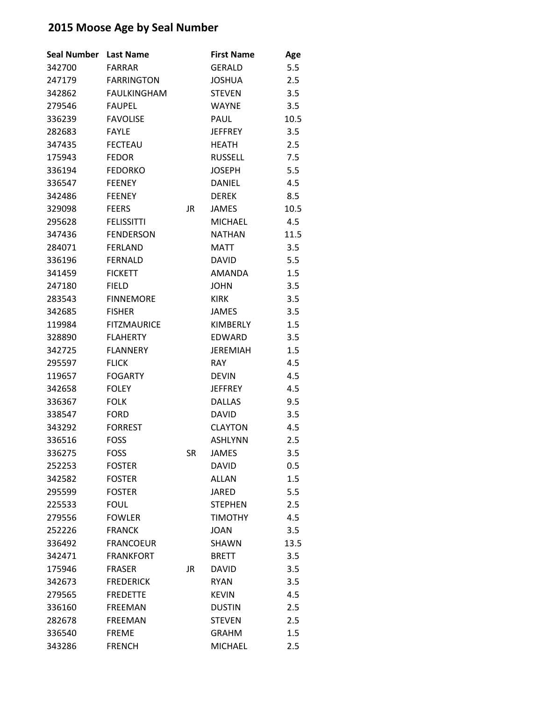| <b>Seal Number</b> | <b>Last Name</b>   |           | <b>First Name</b> | Age  |
|--------------------|--------------------|-----------|-------------------|------|
| 342700             | FARRAR             |           | <b>GERALD</b>     | 5.5  |
| 247179             | <b>FARRINGTON</b>  |           | <b>JOSHUA</b>     | 2.5  |
| 342862             | <b>FAULKINGHAM</b> |           | <b>STEVEN</b>     | 3.5  |
| 279546             | <b>FAUPEL</b>      |           | <b>WAYNE</b>      | 3.5  |
| 336239             | <b>FAVOLISE</b>    |           | PAUL              | 10.5 |
| 282683             | <b>FAYLE</b>       |           | <b>JEFFREY</b>    | 3.5  |
| 347435             | <b>FECTEAU</b>     |           | <b>HEATH</b>      | 2.5  |
| 175943             | <b>FEDOR</b>       |           | <b>RUSSELL</b>    | 7.5  |
| 336194             | <b>FEDORKO</b>     |           | <b>JOSEPH</b>     | 5.5  |
| 336547             | <b>FEENEY</b>      |           | <b>DANIEL</b>     | 4.5  |
| 342486             | <b>FEENEY</b>      |           | <b>DEREK</b>      | 8.5  |
| 329098             | <b>FEERS</b>       | JR.       | <b>JAMES</b>      | 10.5 |
| 295628             | <b>FELISSITTI</b>  |           | <b>MICHAEL</b>    | 4.5  |
| 347436             | <b>FENDERSON</b>   |           | <b>NATHAN</b>     | 11.5 |
| 284071             | <b>FERLAND</b>     |           | <b>MATT</b>       | 3.5  |
| 336196             | <b>FERNALD</b>     |           | <b>DAVID</b>      | 5.5  |
| 341459             | <b>FICKETT</b>     |           | <b>AMANDA</b>     | 1.5  |
| 247180             | <b>FIELD</b>       |           | <b>JOHN</b>       | 3.5  |
| 283543             | <b>FINNEMORE</b>   |           | KIRK              | 3.5  |
| 342685             | <b>FISHER</b>      |           | <b>JAMES</b>      | 3.5  |
| 119984             | <b>FITZMAURICE</b> |           | KIMBERLY          | 1.5  |
| 328890             | <b>FLAHERTY</b>    |           | EDWARD            | 3.5  |
| 342725             | <b>FLANNERY</b>    |           | <b>JEREMIAH</b>   | 1.5  |
| 295597             | <b>FLICK</b>       |           | <b>RAY</b>        | 4.5  |
| 119657             | <b>FOGARTY</b>     |           | <b>DEVIN</b>      | 4.5  |
| 342658             | <b>FOLEY</b>       |           | <b>JEFFREY</b>    | 4.5  |
| 336367             | <b>FOLK</b>        |           | <b>DALLAS</b>     | 9.5  |
| 338547             | <b>FORD</b>        |           | <b>DAVID</b>      | 3.5  |
| 343292             | <b>FORREST</b>     |           | <b>CLAYTON</b>    | 4.5  |
| 336516             | <b>FOSS</b>        |           | <b>ASHLYNN</b>    | 2.5  |
| 336275             | <b>FOSS</b>        | SR        | JAMES             | 3.5  |
| 252253             | <b>FOSTER</b>      |           | <b>DAVID</b>      | 0.5  |
| 342582             | <b>FOSTER</b>      |           | <b>ALLAN</b>      | 1.5  |
| 295599             | <b>FOSTER</b>      |           | <b>JARED</b>      | 5.5  |
| 225533             | <b>FOUL</b>        |           | <b>STEPHEN</b>    | 2.5  |
| 279556             | <b>FOWLER</b>      |           | <b>TIMOTHY</b>    | 4.5  |
| 252226             | <b>FRANCK</b>      |           | <b>JOAN</b>       | 3.5  |
| 336492             | <b>FRANCOEUR</b>   |           | <b>SHAWN</b>      | 13.5 |
| 342471             | <b>FRANKFORT</b>   |           | <b>BRETT</b>      | 3.5  |
| 175946             | <b>FRASER</b>      | <b>JR</b> | <b>DAVID</b>      | 3.5  |
| 342673             | <b>FREDERICK</b>   |           | <b>RYAN</b>       | 3.5  |
| 279565             | <b>FREDETTE</b>    |           | <b>KEVIN</b>      | 4.5  |
| 336160             | <b>FREEMAN</b>     |           | <b>DUSTIN</b>     | 2.5  |
| 282678             | <b>FREEMAN</b>     |           | <b>STEVEN</b>     | 2.5  |
| 336540             | <b>FREME</b>       |           | <b>GRAHM</b>      | 1.5  |
| 343286             | <b>FRENCH</b>      |           | <b>MICHAEL</b>    | 2.5  |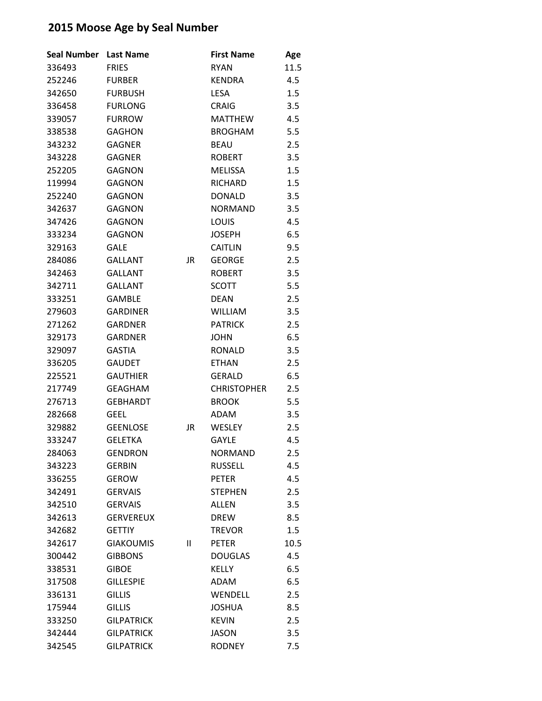| <b>Seal Number</b> | <b>Last Name</b>  |    | <b>First Name</b>  | Age  |
|--------------------|-------------------|----|--------------------|------|
| 336493             | <b>FRIES</b>      |    | <b>RYAN</b>        | 11.5 |
| 252246             | <b>FURBER</b>     |    | <b>KENDRA</b>      | 4.5  |
| 342650             | <b>FURBUSH</b>    |    | <b>LESA</b>        | 1.5  |
| 336458             | <b>FURLONG</b>    |    | <b>CRAIG</b>       | 3.5  |
| 339057             | <b>FURROW</b>     |    | <b>MATTHEW</b>     | 4.5  |
| 338538             | <b>GAGHON</b>     |    | <b>BROGHAM</b>     | 5.5  |
| 343232             | <b>GAGNER</b>     |    | <b>BEAU</b>        | 2.5  |
| 343228             | <b>GAGNER</b>     |    | <b>ROBERT</b>      | 3.5  |
| 252205             | <b>GAGNON</b>     |    | <b>MELISSA</b>     | 1.5  |
| 119994             | <b>GAGNON</b>     |    | <b>RICHARD</b>     | 1.5  |
| 252240             | <b>GAGNON</b>     |    | <b>DONALD</b>      | 3.5  |
| 342637             | <b>GAGNON</b>     |    | <b>NORMAND</b>     | 3.5  |
| 347426             | <b>GAGNON</b>     |    | LOUIS              | 4.5  |
| 333234             | <b>GAGNON</b>     |    | <b>JOSEPH</b>      | 6.5  |
| 329163             | <b>GALE</b>       |    | <b>CAITLIN</b>     | 9.5  |
| 284086             | <b>GALLANT</b>    | JR | <b>GEORGE</b>      | 2.5  |
| 342463             | <b>GALLANT</b>    |    | <b>ROBERT</b>      | 3.5  |
| 342711             | <b>GALLANT</b>    |    | <b>SCOTT</b>       | 5.5  |
| 333251             | <b>GAMBLE</b>     |    | <b>DEAN</b>        | 2.5  |
| 279603             | <b>GARDINER</b>   |    | <b>WILLIAM</b>     | 3.5  |
| 271262             | <b>GARDNER</b>    |    | <b>PATRICK</b>     | 2.5  |
| 329173             | <b>GARDNER</b>    |    | <b>JOHN</b>        | 6.5  |
| 329097             | <b>GASTIA</b>     |    | <b>RONALD</b>      | 3.5  |
| 336205             | <b>GAUDET</b>     |    | <b>ETHAN</b>       | 2.5  |
| 225521             | <b>GAUTHIER</b>   |    | <b>GERALD</b>      | 6.5  |
| 217749             | <b>GEAGHAM</b>    |    | <b>CHRISTOPHER</b> | 2.5  |
| 276713             | <b>GEBHARDT</b>   |    | <b>BROOK</b>       | 5.5  |
| 282668             | <b>GEEL</b>       |    | <b>ADAM</b>        | 3.5  |
| 329882             | <b>GEENLOSE</b>   | JR | <b>WESLEY</b>      | 2.5  |
| 333247             | <b>GELETKA</b>    |    | <b>GAYLE</b>       | 4.5  |
| 284063             | <b>GENDRON</b>    |    | <b>NORMAND</b>     | 2.5  |
| 343223             | <b>GERBIN</b>     |    | <b>RUSSELL</b>     | 4.5  |
| 336255             | <b>GEROW</b>      |    | <b>PETER</b>       | 4.5  |
| 342491             | <b>GERVAIS</b>    |    | <b>STEPHEN</b>     | 2.5  |
| 342510             | <b>GERVAIS</b>    |    | <b>ALLEN</b>       | 3.5  |
| 342613             | <b>GERVEREUX</b>  |    | <b>DREW</b>        | 8.5  |
| 342682             | <b>GETTIY</b>     |    | <b>TREVOR</b>      | 1.5  |
| 342617             | <b>GIAKOUMIS</b>  | Ш  | <b>PETER</b>       | 10.5 |
| 300442             | <b>GIBBONS</b>    |    | <b>DOUGLAS</b>     | 4.5  |
| 338531             | <b>GIBOE</b>      |    | <b>KELLY</b>       | 6.5  |
| 317508             | <b>GILLESPIE</b>  |    | <b>ADAM</b>        | 6.5  |
| 336131             | <b>GILLIS</b>     |    | WENDELL            | 2.5  |
| 175944             | <b>GILLIS</b>     |    | <b>JOSHUA</b>      | 8.5  |
| 333250             | <b>GILPATRICK</b> |    | <b>KEVIN</b>       | 2.5  |
| 342444             | <b>GILPATRICK</b> |    | <b>JASON</b>       | 3.5  |
| 342545             | <b>GILPATRICK</b> |    | <b>RODNEY</b>      | 7.5  |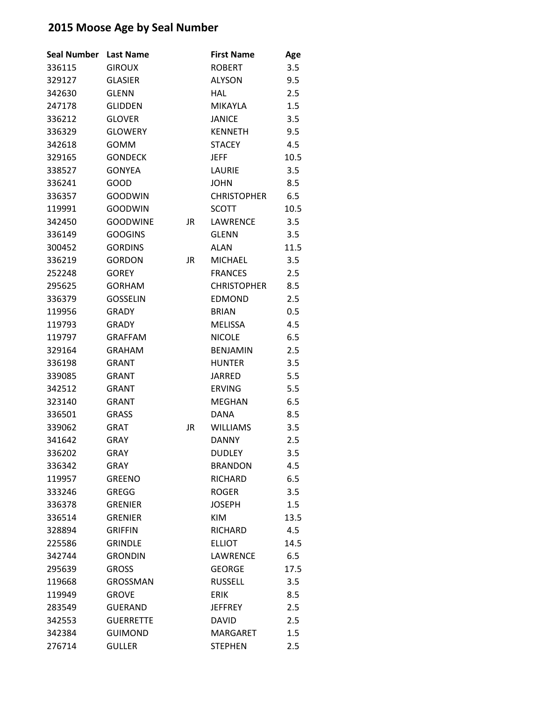| <b>Seal Number</b> | <b>Last Name</b> |           | <b>First Name</b>  | Age  |
|--------------------|------------------|-----------|--------------------|------|
| 336115             | <b>GIROUX</b>    |           | <b>ROBERT</b>      | 3.5  |
| 329127             | <b>GLASIER</b>   |           | <b>ALYSON</b>      | 9.5  |
| 342630             | <b>GLENN</b>     |           | <b>HAL</b>         | 2.5  |
| 247178             | <b>GLIDDEN</b>   |           | <b>MIKAYLA</b>     | 1.5  |
| 336212             | <b>GLOVER</b>    |           | <b>JANICE</b>      | 3.5  |
| 336329             | <b>GLOWERY</b>   |           | <b>KENNETH</b>     | 9.5  |
| 342618             | <b>GOMM</b>      |           | <b>STACEY</b>      | 4.5  |
| 329165             | <b>GONDECK</b>   |           | <b>JEFF</b>        | 10.5 |
| 338527             | <b>GONYEA</b>    |           | LAURIE             | 3.5  |
| 336241             | GOOD             |           | <b>JOHN</b>        | 8.5  |
| 336357             | <b>GOODWIN</b>   |           | <b>CHRISTOPHER</b> | 6.5  |
| 119991             | <b>GOODWIN</b>   |           | <b>SCOTT</b>       | 10.5 |
| 342450             | <b>GOODWINE</b>  | JR        | LAWRENCE           | 3.5  |
| 336149             | <b>GOOGINS</b>   |           | <b>GLENN</b>       | 3.5  |
| 300452             | <b>GORDINS</b>   |           | ALAN               | 11.5 |
| 336219             | <b>GORDON</b>    | <b>JR</b> | <b>MICHAEL</b>     | 3.5  |
| 252248             | <b>GOREY</b>     |           | <b>FRANCES</b>     | 2.5  |
| 295625             | <b>GORHAM</b>    |           | <b>CHRISTOPHER</b> | 8.5  |
| 336379             | <b>GOSSELIN</b>  |           | <b>EDMOND</b>      | 2.5  |
| 119956             | <b>GRADY</b>     |           | <b>BRIAN</b>       | 0.5  |
| 119793             | <b>GRADY</b>     |           | <b>MELISSA</b>     | 4.5  |
| 119797             | <b>GRAFFAM</b>   |           | <b>NICOLE</b>      | 6.5  |
| 329164             | <b>GRAHAM</b>    |           | <b>BENJAMIN</b>    | 2.5  |
| 336198             | <b>GRANT</b>     |           | <b>HUNTER</b>      | 3.5  |
| 339085             | <b>GRANT</b>     |           | <b>JARRED</b>      | 5.5  |
| 342512             | <b>GRANT</b>     |           | <b>ERVING</b>      | 5.5  |
| 323140             | <b>GRANT</b>     |           | <b>MEGHAN</b>      | 6.5  |
| 336501             | <b>GRASS</b>     |           | DANA               | 8.5  |
| 339062             | <b>GRAT</b>      | JR        | <b>WILLIAMS</b>    | 3.5  |
| 341642             | <b>GRAY</b>      |           | <b>DANNY</b>       | 2.5  |
| 336202             | <b>GRAY</b>      |           | <b>DUDLEY</b>      | 3.5  |
| 336342             | <b>GRAY</b>      |           | <b>BRANDON</b>     | 4.5  |
| 119957             | <b>GREENO</b>    |           | <b>RICHARD</b>     | 6.5  |
| 333246             | <b>GREGG</b>     |           | <b>ROGER</b>       | 3.5  |
| 336378             | <b>GRENIER</b>   |           | <b>JOSEPH</b>      | 1.5  |
| 336514             | <b>GRENIER</b>   |           | <b>KIM</b>         | 13.5 |
| 328894             | <b>GRIFFIN</b>   |           | <b>RICHARD</b>     | 4.5  |
| 225586             | <b>GRINDLE</b>   |           | <b>ELLIOT</b>      | 14.5 |
| 342744             | <b>GRONDIN</b>   |           | LAWRENCE           | 6.5  |
| 295639             | <b>GROSS</b>     |           | <b>GEORGE</b>      | 17.5 |
| 119668             | <b>GROSSMAN</b>  |           | <b>RUSSELL</b>     | 3.5  |
| 119949             | <b>GROVE</b>     |           | <b>ERIK</b>        | 8.5  |
| 283549             | <b>GUERAND</b>   |           | <b>JEFFREY</b>     | 2.5  |
| 342553             | <b>GUERRETTE</b> |           | <b>DAVID</b>       | 2.5  |
| 342384             | <b>GUIMOND</b>   |           | <b>MARGARET</b>    | 1.5  |
| 276714             | <b>GULLER</b>    |           | <b>STEPHEN</b>     | 2.5  |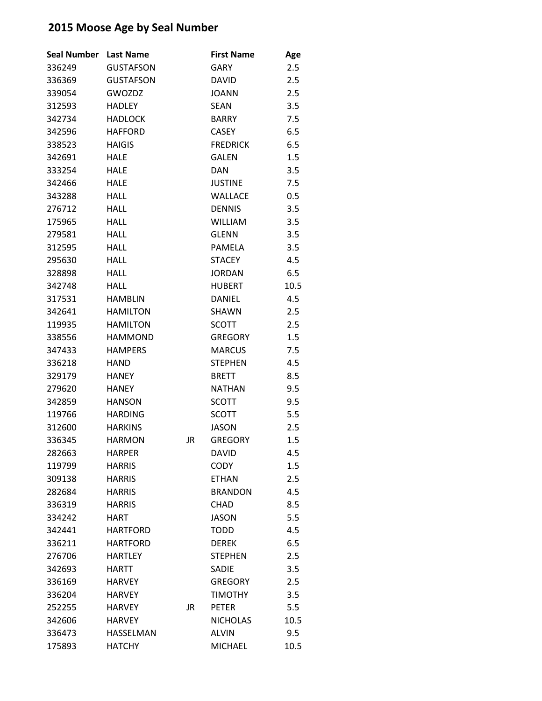| <b>Seal Number</b> | <b>Last Name</b> |           | <b>First Name</b> | Age     |
|--------------------|------------------|-----------|-------------------|---------|
| 336249             | <b>GUSTAFSON</b> |           | <b>GARY</b>       | 2.5     |
| 336369             | <b>GUSTAFSON</b> |           | <b>DAVID</b>      | 2.5     |
| 339054             | GWOZDZ           |           | <b>JOANN</b>      | 2.5     |
| 312593             | <b>HADLEY</b>    |           | <b>SEAN</b>       | 3.5     |
| 342734             | <b>HADLOCK</b>   |           | <b>BARRY</b>      | 7.5     |
| 342596             | <b>HAFFORD</b>   |           | <b>CASEY</b>      | 6.5     |
| 338523             | <b>HAIGIS</b>    |           | <b>FREDRICK</b>   | 6.5     |
| 342691             | <b>HALE</b>      |           | <b>GALEN</b>      | 1.5     |
| 333254             | <b>HALE</b>      |           | <b>DAN</b>        | 3.5     |
| 342466             | <b>HALE</b>      |           | <b>JUSTINE</b>    | 7.5     |
| 343288             | <b>HALL</b>      |           | <b>WALLACE</b>    | $0.5\,$ |
| 276712             | <b>HALL</b>      |           | <b>DENNIS</b>     | 3.5     |
| 175965             | <b>HALL</b>      |           | <b>WILLIAM</b>    | 3.5     |
| 279581             | <b>HALL</b>      |           | <b>GLENN</b>      | 3.5     |
| 312595             | <b>HALL</b>      |           | <b>PAMELA</b>     | 3.5     |
| 295630             | <b>HALL</b>      |           | <b>STACEY</b>     | 4.5     |
| 328898             | <b>HALL</b>      |           | <b>JORDAN</b>     | 6.5     |
| 342748             | <b>HALL</b>      |           | <b>HUBERT</b>     | 10.5    |
| 317531             | <b>HAMBLIN</b>   |           | <b>DANIEL</b>     | 4.5     |
| 342641             | <b>HAMILTON</b>  |           | SHAWN             | 2.5     |
| 119935             | <b>HAMILTON</b>  |           | <b>SCOTT</b>      | 2.5     |
| 338556             | <b>HAMMOND</b>   |           | <b>GREGORY</b>    | 1.5     |
| 347433             | <b>HAMPERS</b>   |           | <b>MARCUS</b>     | 7.5     |
| 336218             | <b>HAND</b>      |           | <b>STEPHEN</b>    | 4.5     |
| 329179             | <b>HANEY</b>     |           | <b>BRETT</b>      | 8.5     |
| 279620             | <b>HANEY</b>     |           | <b>NATHAN</b>     | 9.5     |
| 342859             | <b>HANSON</b>    |           | <b>SCOTT</b>      | 9.5     |
| 119766             | <b>HARDING</b>   |           | <b>SCOTT</b>      | 5.5     |
| 312600             | <b>HARKINS</b>   |           | <b>JASON</b>      | 2.5     |
| 336345             | <b>HARMON</b>    | JR        | <b>GREGORY</b>    | 1.5     |
| 282663             | <b>HARPER</b>    |           | <b>DAVID</b>      | 4.5     |
| 119799             | <b>HARRIS</b>    |           | <b>CODY</b>       | 1.5     |
| 309138             | <b>HARRIS</b>    |           | <b>ETHAN</b>      | 2.5     |
| 282684             | <b>HARRIS</b>    |           | <b>BRANDON</b>    | 4.5     |
| 336319             | <b>HARRIS</b>    |           | <b>CHAD</b>       | 8.5     |
| 334242             | <b>HART</b>      |           | <b>JASON</b>      | 5.5     |
| 342441             | <b>HARTFORD</b>  |           | <b>TODD</b>       | 4.5     |
| 336211             | <b>HARTFORD</b>  |           | <b>DEREK</b>      | 6.5     |
| 276706             | <b>HARTLEY</b>   |           | <b>STEPHEN</b>    | 2.5     |
| 342693             | HARTT            |           | <b>SADIE</b>      | 3.5     |
| 336169             | <b>HARVEY</b>    |           | <b>GREGORY</b>    | 2.5     |
| 336204             | <b>HARVEY</b>    |           | <b>TIMOTHY</b>    | 3.5     |
| 252255             | <b>HARVEY</b>    | <b>JR</b> | <b>PETER</b>      | 5.5     |
| 342606             | <b>HARVEY</b>    |           | <b>NICHOLAS</b>   | 10.5    |
| 336473             | HASSELMAN        |           | <b>ALVIN</b>      | 9.5     |
| 175893             | <b>HATCHY</b>    |           | MICHAEL           | 10.5    |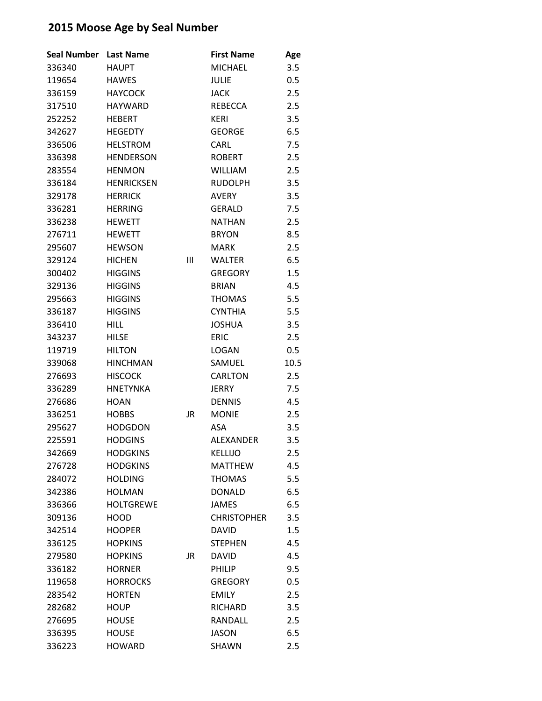| Seal Number | <b>Last Name</b>  |           | <b>First Name</b>  | Age  |
|-------------|-------------------|-----------|--------------------|------|
| 336340      | <b>HAUPT</b>      |           | <b>MICHAEL</b>     | 3.5  |
| 119654      | <b>HAWES</b>      |           | JULIE              | 0.5  |
| 336159      | <b>HAYCOCK</b>    |           | <b>JACK</b>        | 2.5  |
| 317510      | <b>HAYWARD</b>    |           | <b>REBECCA</b>     | 2.5  |
| 252252      | <b>HEBERT</b>     |           | <b>KERI</b>        | 3.5  |
| 342627      | <b>HEGEDTY</b>    |           | <b>GEORGE</b>      | 6.5  |
| 336506      | <b>HELSTROM</b>   |           | <b>CARL</b>        | 7.5  |
| 336398      | <b>HENDERSON</b>  |           | <b>ROBERT</b>      | 2.5  |
| 283554      | <b>HENMON</b>     |           | <b>WILLIAM</b>     | 2.5  |
| 336184      | <b>HENRICKSEN</b> |           | <b>RUDOLPH</b>     | 3.5  |
| 329178      | <b>HERRICK</b>    |           | <b>AVERY</b>       | 3.5  |
| 336281      | <b>HERRING</b>    |           | <b>GERALD</b>      | 7.5  |
| 336238      | <b>HEWETT</b>     |           | <b>NATHAN</b>      | 2.5  |
| 276711      | <b>HEWETT</b>     |           | <b>BRYON</b>       | 8.5  |
| 295607      | <b>HEWSON</b>     |           | <b>MARK</b>        | 2.5  |
| 329124      | <b>HICHEN</b>     | Ш         | <b>WALTER</b>      | 6.5  |
| 300402      | <b>HIGGINS</b>    |           | <b>GREGORY</b>     | 1.5  |
| 329136      | <b>HIGGINS</b>    |           | <b>BRIAN</b>       | 4.5  |
| 295663      | <b>HIGGINS</b>    |           | <b>THOMAS</b>      | 5.5  |
| 336187      | <b>HIGGINS</b>    |           | <b>CYNTHIA</b>     | 5.5  |
| 336410      | <b>HILL</b>       |           | <b>JOSHUA</b>      | 3.5  |
| 343237      | <b>HILSE</b>      |           | <b>ERIC</b>        | 2.5  |
| 119719      | <b>HILTON</b>     |           | <b>LOGAN</b>       | 0.5  |
| 339068      | <b>HINCHMAN</b>   |           | SAMUEL             | 10.5 |
| 276693      | <b>HISCOCK</b>    |           | <b>CARLTON</b>     | 2.5  |
| 336289      | <b>HNETYNKA</b>   |           | <b>JERRY</b>       | 7.5  |
| 276686      | <b>HOAN</b>       |           | <b>DENNIS</b>      | 4.5  |
| 336251      | <b>HOBBS</b>      | JR        | <b>MONIE</b>       | 2.5  |
| 295627      | <b>HODGDON</b>    |           | ASA                | 3.5  |
| 225591      | <b>HODGINS</b>    |           | ALEXANDER          | 3.5  |
| 342669      | <b>HODGKINS</b>   |           | KELLIJO            | 2.5  |
| 276728      | <b>HODGKINS</b>   |           | <b>MATTHEW</b>     | 4.5  |
| 284072      | <b>HOLDING</b>    |           | <b>THOMAS</b>      | 5.5  |
| 342386      | <b>HOLMAN</b>     |           | <b>DONALD</b>      | 6.5  |
| 336366      | <b>HOLTGREWE</b>  |           | <b>JAMES</b>       | 6.5  |
| 309136      | <b>HOOD</b>       |           | <b>CHRISTOPHER</b> | 3.5  |
| 342514      | <b>HOOPER</b>     |           | <b>DAVID</b>       | 1.5  |
| 336125      | <b>HOPKINS</b>    |           | <b>STEPHEN</b>     | 4.5  |
| 279580      | <b>HOPKINS</b>    | <b>JR</b> | <b>DAVID</b>       | 4.5  |
| 336182      | <b>HORNER</b>     |           | <b>PHILIP</b>      | 9.5  |
| 119658      | <b>HORROCKS</b>   |           | <b>GREGORY</b>     | 0.5  |
| 283542      | <b>HORTEN</b>     |           | <b>EMILY</b>       | 2.5  |
| 282682      | <b>HOUP</b>       |           | <b>RICHARD</b>     | 3.5  |
| 276695      | <b>HOUSE</b>      |           | <b>RANDALL</b>     | 2.5  |
| 336395      | <b>HOUSE</b>      |           | <b>JASON</b>       | 6.5  |
| 336223      | <b>HOWARD</b>     |           | SHAWN              | 2.5  |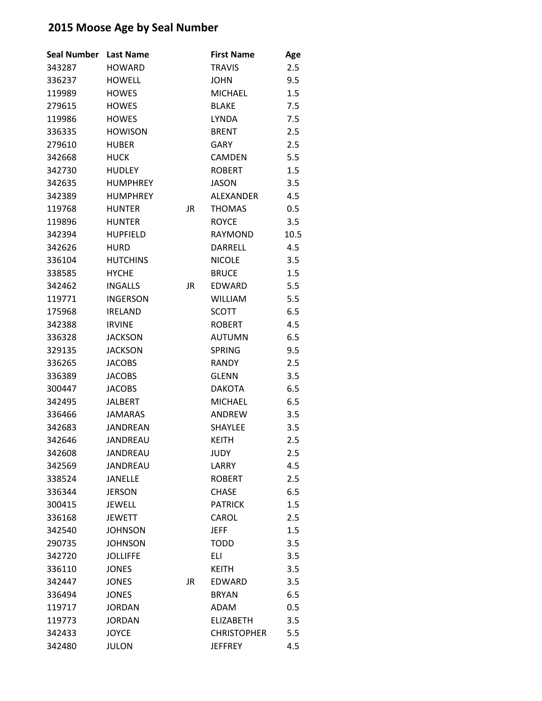| <b>Seal Number</b> | <b>Last Name</b> |    | <b>First Name</b>  | Age  |
|--------------------|------------------|----|--------------------|------|
| 343287             | <b>HOWARD</b>    |    | <b>TRAVIS</b>      | 2.5  |
| 336237             | <b>HOWELL</b>    |    | <b>JOHN</b>        | 9.5  |
| 119989             | <b>HOWES</b>     |    | <b>MICHAEL</b>     | 1.5  |
| 279615             | <b>HOWES</b>     |    | <b>BLAKE</b>       | 7.5  |
| 119986             | <b>HOWES</b>     |    | <b>LYNDA</b>       | 7.5  |
| 336335             | <b>HOWISON</b>   |    | <b>BRENT</b>       | 2.5  |
| 279610             | <b>HUBER</b>     |    | <b>GARY</b>        | 2.5  |
| 342668             | <b>HUCK</b>      |    | <b>CAMDEN</b>      | 5.5  |
| 342730             | <b>HUDLEY</b>    |    | <b>ROBERT</b>      | 1.5  |
| 342635             | <b>HUMPHREY</b>  |    | <b>JASON</b>       | 3.5  |
| 342389             | <b>HUMPHREY</b>  |    | <b>ALEXANDER</b>   | 4.5  |
| 119768             | <b>HUNTER</b>    | JR | <b>THOMAS</b>      | 0.5  |
| 119896             | <b>HUNTER</b>    |    | <b>ROYCE</b>       | 3.5  |
| 342394             | <b>HUPFIELD</b>  |    | <b>RAYMOND</b>     | 10.5 |
| 342626             | <b>HURD</b>      |    | DARRELL            | 4.5  |
| 336104             | <b>HUTCHINS</b>  |    | <b>NICOLE</b>      | 3.5  |
| 338585             | <b>HYCHE</b>     |    | <b>BRUCE</b>       | 1.5  |
| 342462             | <b>INGALLS</b>   | JR | <b>EDWARD</b>      | 5.5  |
| 119771             | <b>INGERSON</b>  |    | <b>WILLIAM</b>     | 5.5  |
| 175968             | <b>IRELAND</b>   |    | <b>SCOTT</b>       | 6.5  |
| 342388             | <b>IRVINE</b>    |    | <b>ROBERT</b>      | 4.5  |
| 336328             | <b>JACKSON</b>   |    | <b>AUTUMN</b>      | 6.5  |
| 329135             | <b>JACKSON</b>   |    | <b>SPRING</b>      | 9.5  |
| 336265             | <b>JACOBS</b>    |    | <b>RANDY</b>       | 2.5  |
| 336389             | <b>JACOBS</b>    |    | <b>GLENN</b>       | 3.5  |
| 300447             | <b>JACOBS</b>    |    | <b>DAKOTA</b>      | 6.5  |
| 342495             | <b>JALBERT</b>   |    | <b>MICHAEL</b>     | 6.5  |
| 336466             | <b>JAMARAS</b>   |    | ANDREW             | 3.5  |
| 342683             | JANDREAN         |    | <b>SHAYLEE</b>     | 3.5  |
| 342646             | JANDREAU         |    | <b>KEITH</b>       | 2.5  |
| 342608             | JANDREAU         |    | <b>JUDY</b>        | 2.5  |
| 342569             | JANDREAU         |    | LARRY              | 4.5  |
| 338524             | <b>JANELLE</b>   |    | <b>ROBERT</b>      | 2.5  |
| 336344             | <b>JERSON</b>    |    | <b>CHASE</b>       | 6.5  |
| 300415             | <b>JEWELL</b>    |    | <b>PATRICK</b>     | 1.5  |
| 336168             | <b>JEWETT</b>    |    | CAROL              | 2.5  |
| 342540             | <b>JOHNSON</b>   |    | <b>JEFF</b>        | 1.5  |
| 290735             | <b>JOHNSON</b>   |    | <b>TODD</b>        | 3.5  |
| 342720             | <b>JOLLIFFE</b>  |    | ELI                | 3.5  |
| 336110             | <b>JONES</b>     |    | <b>KEITH</b>       | 3.5  |
| 342447             | <b>JONES</b>     | JR | EDWARD             | 3.5  |
| 336494             | <b>JONES</b>     |    | <b>BRYAN</b>       | 6.5  |
| 119717             | <b>JORDAN</b>    |    | ADAM               | 0.5  |
| 119773             | <b>JORDAN</b>    |    | <b>ELIZABETH</b>   | 3.5  |
| 342433             | <b>JOYCE</b>     |    | <b>CHRISTOPHER</b> | 5.5  |
| 342480             | <b>JULON</b>     |    | <b>JEFFREY</b>     | 4.5  |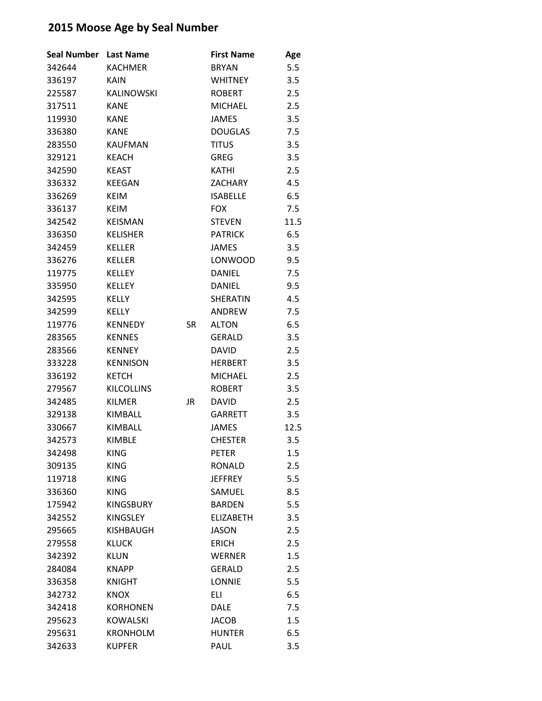| <b>Seal Number</b> | <b>Last Name</b>  |           | <b>First Name</b> | Age  |
|--------------------|-------------------|-----------|-------------------|------|
| 342644             | <b>KACHMER</b>    |           | <b>BRYAN</b>      | 5.5  |
| 336197             | <b>KAIN</b>       |           | <b>WHITNEY</b>    | 3.5  |
| 225587             | <b>KALINOWSKI</b> |           | <b>ROBERT</b>     | 2.5  |
| 317511             | <b>KANE</b>       |           | <b>MICHAEL</b>    | 2.5  |
| 119930             | <b>KANE</b>       |           | <b>JAMES</b>      | 3.5  |
| 336380             | <b>KANE</b>       |           | <b>DOUGLAS</b>    | 7.5  |
| 283550             | <b>KAUFMAN</b>    |           | <b>TITUS</b>      | 3.5  |
| 329121             | <b>KEACH</b>      |           | <b>GREG</b>       | 3.5  |
| 342590             | <b>KEAST</b>      |           | <b>KATHI</b>      | 2.5  |
| 336332             | <b>KEEGAN</b>     |           | <b>ZACHARY</b>    | 4.5  |
| 336269             | <b>KEIM</b>       |           | <b>ISABELLE</b>   | 6.5  |
| 336137             | <b>KEIM</b>       |           | <b>FOX</b>        | 7.5  |
| 342542             | <b>KEISMAN</b>    |           | <b>STEVEN</b>     | 11.5 |
| 336350             | <b>KELISHER</b>   |           | <b>PATRICK</b>    | 6.5  |
| 342459             | <b>KELLER</b>     |           | <b>JAMES</b>      | 3.5  |
| 336276             | <b>KELLER</b>     |           | LONWOOD           | 9.5  |
| 119775             | <b>KELLEY</b>     |           | <b>DANIEL</b>     | 7.5  |
| 335950             | <b>KELLEY</b>     |           | <b>DANIEL</b>     | 9.5  |
| 342595             | KELLY             |           | <b>SHERATIN</b>   | 4.5  |
| 342599             | <b>KELLY</b>      |           | ANDREW            | 7.5  |
| 119776             | <b>KENNEDY</b>    | <b>SR</b> | <b>ALTON</b>      | 6.5  |
| 283565             | <b>KENNES</b>     |           | <b>GERALD</b>     | 3.5  |
| 283566             | <b>KENNEY</b>     |           | <b>DAVID</b>      | 2.5  |
| 333228             | <b>KENNISON</b>   |           | <b>HERBERT</b>    | 3.5  |
| 336192             | <b>KETCH</b>      |           | <b>MICHAEL</b>    | 2.5  |
| 279567             | <b>KILCOLLINS</b> |           | <b>ROBERT</b>     | 3.5  |
| 342485             | <b>KILMER</b>     | JR        | <b>DAVID</b>      | 2.5  |
| 329138             | KIMBALL           |           | <b>GARRETT</b>    | 3.5  |
| 330667             | KIMBALL           |           | <b>JAMES</b>      | 12.5 |
| 342573             | <b>KIMBLE</b>     |           | <b>CHESTER</b>    | 3.5  |
| 342498             | KING              |           | PETER             | 1.5  |
| 309135             | <b>KING</b>       |           | <b>RONALD</b>     | 2.5  |
| 119718             | <b>KING</b>       |           | <b>JEFFREY</b>    | 5.5  |
| 336360             | <b>KING</b>       |           | SAMUEL            | 8.5  |
| 175942             | <b>KINGSBURY</b>  |           | <b>BARDEN</b>     | 5.5  |
| 342552             | <b>KINGSLEY</b>   |           | <b>ELIZABETH</b>  | 3.5  |
| 295665             | KISHBAUGH         |           | <b>JASON</b>      | 2.5  |
| 279558             | KLUCK             |           | ERICH             | 2.5  |
| 342392             | <b>KLUN</b>       |           | <b>WERNER</b>     | 1.5  |
| 284084             | <b>KNAPP</b>      |           | <b>GERALD</b>     | 2.5  |
| 336358             | <b>KNIGHT</b>     |           | <b>LONNIE</b>     | 5.5  |
| 342732             | <b>KNOX</b>       |           | <b>ELI</b>        | 6.5  |
| 342418             | <b>KORHONEN</b>   |           | <b>DALE</b>       | 7.5  |
| 295623             | <b>KOWALSKI</b>   |           | <b>JACOB</b>      | 1.5  |
| 295631             | <b>KRONHOLM</b>   |           | <b>HUNTER</b>     | 6.5  |
| 342633             | <b>KUPFER</b>     |           | PAUL              | 3.5  |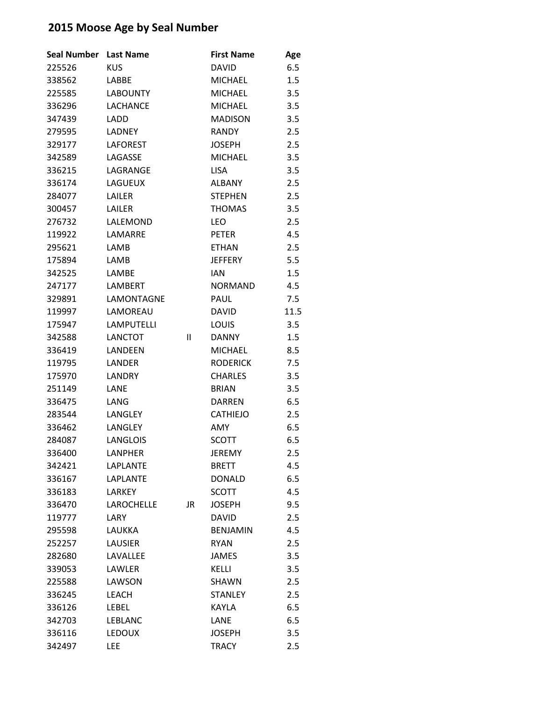| <b>Seal Number</b> | <b>Last Name</b>  |              | <b>First Name</b> | Age  |
|--------------------|-------------------|--------------|-------------------|------|
| 225526             | <b>KUS</b>        |              | <b>DAVID</b>      | 6.5  |
| 338562             | LABBE             |              | <b>MICHAEL</b>    | 1.5  |
| 225585             | <b>LABOUNTY</b>   |              | <b>MICHAEL</b>    | 3.5  |
| 336296             | <b>LACHANCE</b>   |              | <b>MICHAEL</b>    | 3.5  |
| 347439             | LADD              |              | <b>MADISON</b>    | 3.5  |
| 279595             | <b>LADNEY</b>     |              | <b>RANDY</b>      | 2.5  |
| 329177             | <b>LAFOREST</b>   |              | <b>JOSEPH</b>     | 2.5  |
| 342589             | LAGASSE           |              | <b>MICHAEL</b>    | 3.5  |
| 336215             | LAGRANGE          |              | <b>LISA</b>       | 3.5  |
| 336174             | LAGUEUX           |              | <b>ALBANY</b>     | 2.5  |
| 284077             | LAILER            |              | <b>STEPHEN</b>    | 2.5  |
| 300457             | LAILER            |              | <b>THOMAS</b>     | 3.5  |
| 276732             | LALEMOND          |              | <b>LEO</b>        | 2.5  |
| 119922             | LAMARRE           |              | <b>PETER</b>      | 4.5  |
| 295621             | LAMB              |              | <b>ETHAN</b>      | 2.5  |
| 175894             | LAMB              |              | <b>JEFFERY</b>    | 5.5  |
| 342525             | LAMBE             |              | <b>IAN</b>        | 1.5  |
| 247177             | <b>LAMBERT</b>    |              | <b>NORMAND</b>    | 4.5  |
| 329891             | LAMONTAGNE        |              | <b>PAUL</b>       | 7.5  |
| 119997             | LAMOREAU          |              | <b>DAVID</b>      | 11.5 |
| 175947             | <b>LAMPUTELLI</b> |              | LOUIS             | 3.5  |
| 342588             | <b>LANCTOT</b>    | $\mathbf{I}$ | <b>DANNY</b>      | 1.5  |
| 336419             | LANDEEN           |              | <b>MICHAEL</b>    | 8.5  |
| 119795             | LANDER            |              | <b>RODERICK</b>   | 7.5  |
| 175970             | LANDRY            |              | <b>CHARLES</b>    | 3.5  |
| 251149             | LANE              |              | <b>BRIAN</b>      | 3.5  |
| 336475             | LANG              |              | <b>DARREN</b>     | 6.5  |
| 283544             | LANGLEY           |              | <b>CATHIEJO</b>   | 2.5  |
| 336462             | LANGLEY           |              | AMY               | 6.5  |
| 284087             | <b>LANGLOIS</b>   |              | <b>SCOTT</b>      | 6.5  |
| 336400             | <b>LANPHER</b>    |              | JEREMY            | 2.5  |
| 342421             | <b>LAPLANTE</b>   |              | <b>BRETT</b>      | 4.5  |
| 336167             | <b>LAPLANTE</b>   |              | <b>DONALD</b>     | 6.5  |
| 336183             | <b>LARKEY</b>     |              | <b>SCOTT</b>      | 4.5  |
| 336470             | LAROCHELLE        | <b>JR</b>    | <b>JOSEPH</b>     | 9.5  |
| 119777             | LARY              |              | <b>DAVID</b>      | 2.5  |
| 295598             | <b>LAUKKA</b>     |              | <b>BENJAMIN</b>   | 4.5  |
| 252257             | <b>LAUSIER</b>    |              | <b>RYAN</b>       | 2.5  |
| 282680             | LAVALLEE          |              | <b>JAMES</b>      | 3.5  |
| 339053             | LAWLER            |              | <b>KELLI</b>      | 3.5  |
| 225588             | LAWSON            |              | <b>SHAWN</b>      | 2.5  |
| 336245             | <b>LEACH</b>      |              | <b>STANLEY</b>    | 2.5  |
| 336126             | <b>LEBEL</b>      |              | <b>KAYLA</b>      | 6.5  |
| 342703             | <b>LEBLANC</b>    |              | LANE              | 6.5  |
| 336116             | <b>LEDOUX</b>     |              | <b>JOSEPH</b>     | 3.5  |
| 342497             | <b>LEE</b>        |              | <b>TRACY</b>      | 2.5  |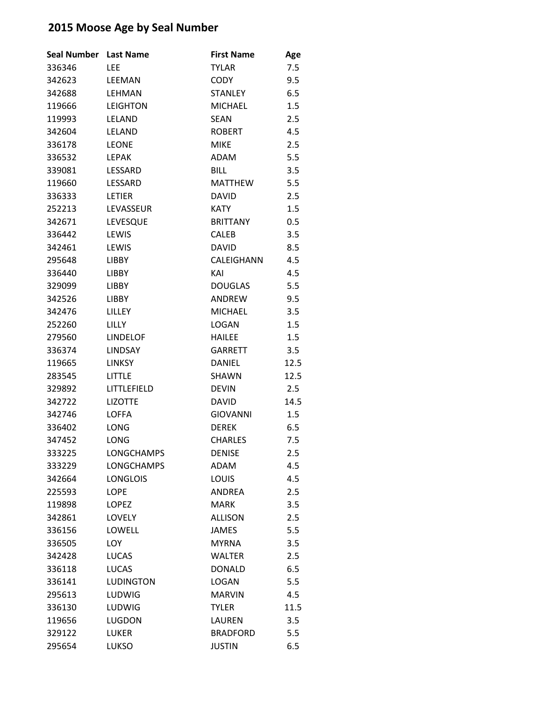| Seal Number Last Name |                   | <b>First Name</b> | Age  |
|-----------------------|-------------------|-------------------|------|
| 336346                | <b>LEE</b>        | <b>TYLAR</b>      | 7.5  |
| 342623                | LEEMAN            | <b>CODY</b>       | 9.5  |
| 342688                | LEHMAN            | <b>STANLEY</b>    | 6.5  |
| 119666                | <b>LEIGHTON</b>   | <b>MICHAEL</b>    | 1.5  |
| 119993                | LELAND            | <b>SEAN</b>       | 2.5  |
| 342604                | <b>LELAND</b>     | <b>ROBERT</b>     | 4.5  |
| 336178                | <b>LEONE</b>      | <b>MIKE</b>       | 2.5  |
| 336532                | <b>LEPAK</b>      | ADAM              | 5.5  |
| 339081                | LESSARD           | <b>BILL</b>       | 3.5  |
| 119660                | LESSARD           | <b>MATTHEW</b>    | 5.5  |
| 336333                | <b>LETIER</b>     | <b>DAVID</b>      | 2.5  |
| 252213                | LEVASSEUR         | <b>KATY</b>       | 1.5  |
| 342671                | LEVESQUE          | <b>BRITTANY</b>   | 0.5  |
| 336442                | LEWIS             | <b>CALEB</b>      | 3.5  |
| 342461                | LEWIS             | <b>DAVID</b>      | 8.5  |
| 295648                | <b>LIBBY</b>      | CALEIGHANN        | 4.5  |
| 336440                | <b>LIBBY</b>      | KAI               | 4.5  |
| 329099                | <b>LIBBY</b>      | <b>DOUGLAS</b>    | 5.5  |
| 342526                | <b>LIBBY</b>      | <b>ANDRFW</b>     | 9.5  |
| 342476                | LILLEY            | <b>MICHAEL</b>    | 3.5  |
| 252260                | <b>LILLY</b>      | <b>LOGAN</b>      | 1.5  |
| 279560                | <b>LINDELOF</b>   | <b>HAILEE</b>     | 1.5  |
| 336374                | <b>LINDSAY</b>    | <b>GARRETT</b>    | 3.5  |
| 119665                | <b>LINKSY</b>     | <b>DANIEL</b>     | 12.5 |
| 283545                | <b>LITTLE</b>     | SHAWN             | 12.5 |
| 329892                | LITTLEFIELD       | <b>DEVIN</b>      | 2.5  |
| 342722                | <b>LIZOTTE</b>    | <b>DAVID</b>      | 14.5 |
| 342746                | <b>LOFFA</b>      | <b>GIOVANNI</b>   | 1.5  |
| 336402                | LONG              | <b>DEREK</b>      | 6.5  |
| 347452                | LONG              | <b>CHARLES</b>    | 7.5  |
| 333225                | <b>LONGCHAMPS</b> | <b>DENISE</b>     | 2.5  |
| 333229                | <b>LONGCHAMPS</b> | ADAM              | 4.5  |
| 342664                | <b>LONGLOIS</b>   | <b>LOUIS</b>      | 4.5  |
| 225593                | <b>LOPE</b>       | <b>ANDREA</b>     | 2.5  |
| 119898                | <b>LOPEZ</b>      | <b>MARK</b>       | 3.5  |
| 342861                | <b>LOVELY</b>     | <b>ALLISON</b>    | 2.5  |
| 336156                | LOWELL            | <b>JAMES</b>      | 5.5  |
| 336505                | LOY               | <b>MYRNA</b>      | 3.5  |
| 342428                | <b>LUCAS</b>      | <b>WALTER</b>     | 2.5  |
| 336118                | <b>LUCAS</b>      | <b>DONALD</b>     | 6.5  |
| 336141                | <b>LUDINGTON</b>  | <b>LOGAN</b>      | 5.5  |
| 295613                | LUDWIG            | <b>MARVIN</b>     | 4.5  |
| 336130                | LUDWIG            | <b>TYLER</b>      | 11.5 |
| 119656                | <b>LUGDON</b>     | LAUREN            | 3.5  |
| 329122                | <b>LUKER</b>      | <b>BRADFORD</b>   | 5.5  |
| 295654                | LUKSO             | <b>JUSTIN</b>     | 6.5  |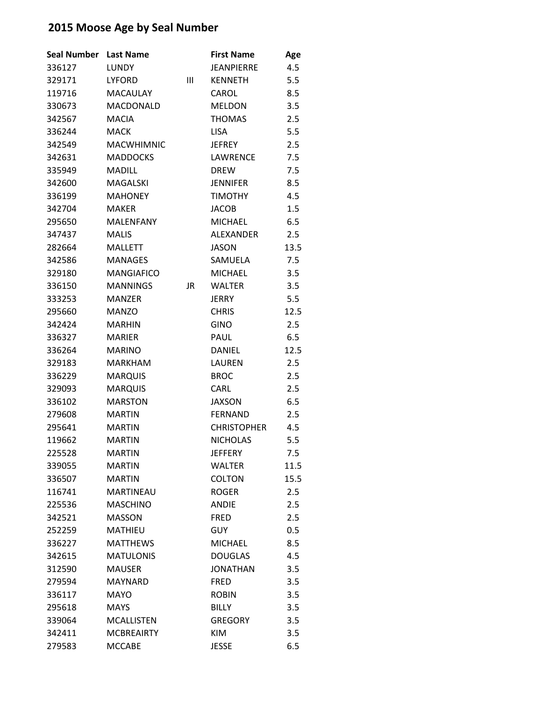| <b>Seal Number</b> | <b>Last Name</b>  |    | <b>First Name</b>  | Age  |
|--------------------|-------------------|----|--------------------|------|
| 336127             | <b>LUNDY</b>      |    | <b>JEANPIERRE</b>  | 4.5  |
| 329171             | <b>LYFORD</b>     | Ш  | <b>KENNETH</b>     | 5.5  |
| 119716             | <b>MACAULAY</b>   |    | CAROL              | 8.5  |
| 330673             | <b>MACDONALD</b>  |    | <b>MELDON</b>      | 3.5  |
| 342567             | <b>MACIA</b>      |    | <b>THOMAS</b>      | 2.5  |
| 336244             | <b>MACK</b>       |    | <b>LISA</b>        | 5.5  |
| 342549             | <b>MACWHIMNIC</b> |    | <b>JEFREY</b>      | 2.5  |
| 342631             | <b>MADDOCKS</b>   |    | <b>LAWRENCE</b>    | 7.5  |
| 335949             | <b>MADILL</b>     |    | <b>DREW</b>        | 7.5  |
| 342600             | <b>MAGALSKI</b>   |    | <b>JENNIFER</b>    | 8.5  |
| 336199             | <b>MAHONEY</b>    |    | <b>TIMOTHY</b>     | 4.5  |
| 342704             | <b>MAKER</b>      |    | <b>JACOB</b>       | 1.5  |
| 295650             | <b>MALENFANY</b>  |    | <b>MICHAEL</b>     | 6.5  |
| 347437             | <b>MALIS</b>      |    | <b>ALEXANDER</b>   | 2.5  |
| 282664             | <b>MALLETT</b>    |    | <b>JASON</b>       | 13.5 |
| 342586             | <b>MANAGES</b>    |    | SAMUELA            | 7.5  |
| 329180             | <b>MANGIAFICO</b> |    | <b>MICHAEL</b>     | 3.5  |
| 336150             | <b>MANNINGS</b>   | JR | <b>WALTER</b>      | 3.5  |
| 333253             | <b>MANZER</b>     |    | <b>JERRY</b>       | 5.5  |
| 295660             | <b>MANZO</b>      |    | <b>CHRIS</b>       | 12.5 |
| 342424             | <b>MARHIN</b>     |    | <b>GINO</b>        | 2.5  |
| 336327             | <b>MARIER</b>     |    | PAUL               | 6.5  |
| 336264             | <b>MARINO</b>     |    | <b>DANIEL</b>      | 12.5 |
| 329183             | <b>MARKHAM</b>    |    | <b>LAUREN</b>      | 2.5  |
| 336229             | <b>MARQUIS</b>    |    | <b>BROC</b>        | 2.5  |
| 329093             | <b>MARQUIS</b>    |    | <b>CARL</b>        | 2.5  |
| 336102             | <b>MARSTON</b>    |    | <b>JAXSON</b>      | 6.5  |
| 279608             | <b>MARTIN</b>     |    | <b>FERNAND</b>     | 2.5  |
| 295641             | <b>MARTIN</b>     |    | <b>CHRISTOPHER</b> | 4.5  |
| 119662             | <b>MARTIN</b>     |    | <b>NICHOLAS</b>    | 5.5  |
| 225528             | <b>MARTIN</b>     |    | <b>JEFFERY</b>     | 7.5  |
| 339055             | <b>MARTIN</b>     |    | <b>WALTER</b>      | 11.5 |
| 336507             | <b>MARTIN</b>     |    | <b>COLTON</b>      | 15.5 |
| 116741             | <b>MARTINEAU</b>  |    | <b>ROGER</b>       | 2.5  |
| 225536             | <b>MASCHINO</b>   |    | <b>ANDIE</b>       | 2.5  |
| 342521             | <b>MASSON</b>     |    | <b>FRED</b>        | 2.5  |
| 252259             | <b>MATHIEU</b>    |    | <b>GUY</b>         | 0.5  |
| 336227             | <b>MATTHEWS</b>   |    | <b>MICHAEL</b>     | 8.5  |
| 342615             | <b>MATULONIS</b>  |    | <b>DOUGLAS</b>     | 4.5  |
| 312590             | <b>MAUSER</b>     |    | <b>JONATHAN</b>    | 3.5  |
| 279594             | <b>MAYNARD</b>    |    | <b>FRED</b>        | 3.5  |
| 336117             | <b>MAYO</b>       |    | <b>ROBIN</b>       | 3.5  |
| 295618             | <b>MAYS</b>       |    | <b>BILLY</b>       | 3.5  |
| 339064             | <b>MCALLISTEN</b> |    | <b>GREGORY</b>     | 3.5  |
| 342411             | <b>MCBREAIRTY</b> |    | KIM                | 3.5  |
| 279583             | <b>MCCABE</b>     |    | <b>JESSE</b>       | 6.5  |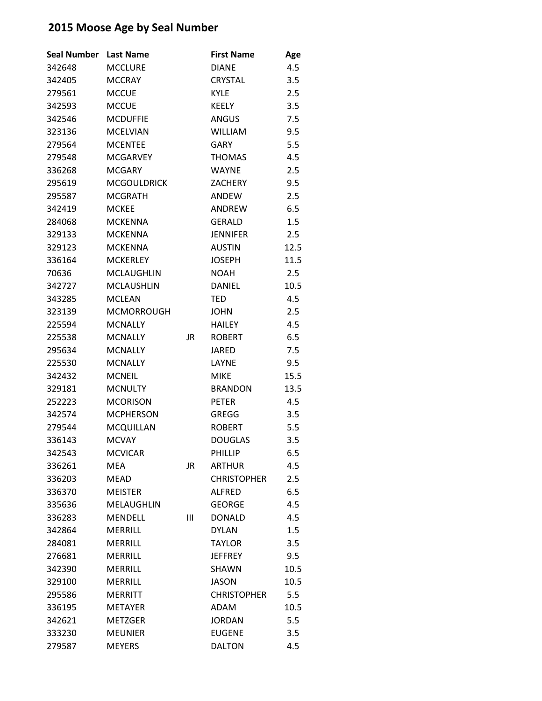| <b>Seal Number</b> | <b>Last Name</b>   |    | <b>First Name</b>  | Age  |
|--------------------|--------------------|----|--------------------|------|
| 342648             | <b>MCCLURE</b>     |    | <b>DIANE</b>       | 4.5  |
| 342405             | <b>MCCRAY</b>      |    | <b>CRYSTAL</b>     | 3.5  |
| 279561             | <b>MCCUE</b>       |    | <b>KYLE</b>        | 2.5  |
| 342593             | <b>MCCUE</b>       |    | <b>KEELY</b>       | 3.5  |
| 342546             | <b>MCDUFFIE</b>    |    | ANGUS              | 7.5  |
| 323136             | <b>MCELVIAN</b>    |    | <b>WILLIAM</b>     | 9.5  |
| 279564             | <b>MCENTEE</b>     |    | <b>GARY</b>        | 5.5  |
| 279548             | <b>MCGARVEY</b>    |    | <b>THOMAS</b>      | 4.5  |
| 336268             | <b>MCGARY</b>      |    | <b>WAYNE</b>       | 2.5  |
| 295619             | <b>MCGOULDRICK</b> |    | <b>ZACHERY</b>     | 9.5  |
| 295587             | <b>MCGRATH</b>     |    | ANDEW              | 2.5  |
| 342419             | <b>MCKEE</b>       |    | ANDREW             | 6.5  |
| 284068             | <b>MCKENNA</b>     |    | <b>GERALD</b>      | 1.5  |
| 329133             | <b>MCKENNA</b>     |    | <b>JENNIFER</b>    | 2.5  |
| 329123             | <b>MCKENNA</b>     |    | <b>AUSTIN</b>      | 12.5 |
| 336164             | <b>MCKERLEY</b>    |    | <b>JOSEPH</b>      | 11.5 |
| 70636              | <b>MCLAUGHLIN</b>  |    | <b>NOAH</b>        | 2.5  |
| 342727             | <b>MCLAUSHLIN</b>  |    | <b>DANIEL</b>      | 10.5 |
| 343285             | <b>MCLEAN</b>      |    | <b>TED</b>         | 4.5  |
| 323139             | <b>MCMORROUGH</b>  |    | <b>JOHN</b>        | 2.5  |
| 225594             | <b>MCNALLY</b>     |    | <b>HAILEY</b>      | 4.5  |
| 225538             | <b>MCNALLY</b>     | JR | <b>ROBERT</b>      | 6.5  |
| 295634             | <b>MCNALLY</b>     |    | <b>JARED</b>       | 7.5  |
| 225530             | <b>MCNALLY</b>     |    | LAYNE              | 9.5  |
| 342432             | <b>MCNEIL</b>      |    | <b>MIKE</b>        | 15.5 |
| 329181             | <b>MCNULTY</b>     |    | <b>BRANDON</b>     | 13.5 |
| 252223             | <b>MCORISON</b>    |    | <b>PETER</b>       | 4.5  |
| 342574             | <b>MCPHERSON</b>   |    | <b>GREGG</b>       | 3.5  |
| 279544             | <b>MCQUILLAN</b>   |    | <b>ROBERT</b>      | 5.5  |
| 336143             | <b>MCVAY</b>       |    | <b>DOUGLAS</b>     | 3.5  |
| 342543             | <b>MCVICAR</b>     |    | <b>PHILLIP</b>     | 6.5  |
| 336261             | <b>MEA</b>         | JR | <b>ARTHUR</b>      | 4.5  |
| 336203             | MEAD               |    | <b>CHRISTOPHER</b> | 2.5  |
| 336370             | <b>MEISTER</b>     |    | <b>ALFRED</b>      | 6.5  |
| 335636             | <b>MELAUGHLIN</b>  |    | <b>GEORGE</b>      | 4.5  |
| 336283             | <b>MENDELL</b>     | Ш  | <b>DONALD</b>      | 4.5  |
| 342864             | <b>MERRILL</b>     |    | <b>DYLAN</b>       | 1.5  |
| 284081             | <b>MERRILL</b>     |    | <b>TAYLOR</b>      | 3.5  |
| 276681             | <b>MERRILL</b>     |    | <b>JEFFREY</b>     | 9.5  |
| 342390             | <b>MERRILL</b>     |    | SHAWN              | 10.5 |
| 329100             | <b>MERRILL</b>     |    | <b>JASON</b>       | 10.5 |
| 295586             | <b>MERRITT</b>     |    | <b>CHRISTOPHER</b> | 5.5  |
| 336195             | <b>METAYER</b>     |    | ADAM               | 10.5 |
| 342621             | <b>METZGER</b>     |    | <b>JORDAN</b>      | 5.5  |
| 333230             | <b>MEUNIER</b>     |    | <b>EUGENE</b>      | 3.5  |
| 279587             | <b>MEYERS</b>      |    | <b>DALTON</b>      | 4.5  |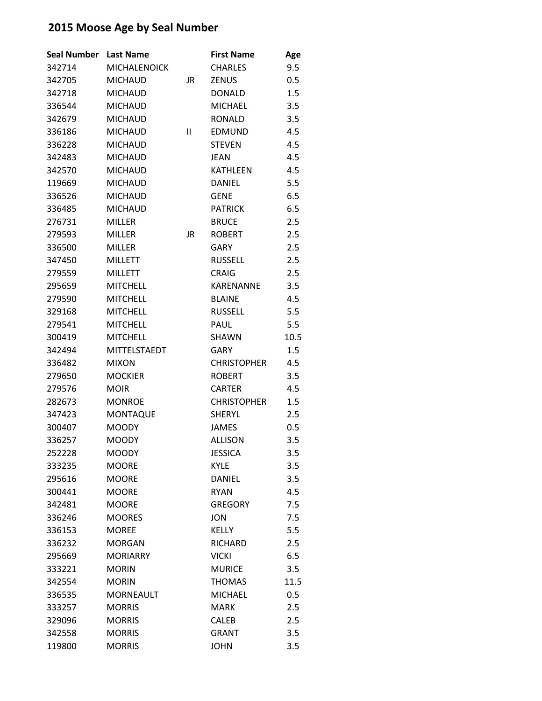| <b>Seal Number</b> | <b>Last Name</b>    |    | <b>First Name</b>  | Age  |
|--------------------|---------------------|----|--------------------|------|
| 342714             | <b>MICHALENOICK</b> |    | <b>CHARLES</b>     | 9.5  |
| 342705             | <b>MICHAUD</b>      | JR | <b>ZENUS</b>       | 0.5  |
| 342718             | <b>MICHAUD</b>      |    | <b>DONALD</b>      | 1.5  |
| 336544             | <b>MICHAUD</b>      |    | <b>MICHAEL</b>     | 3.5  |
| 342679             | <b>MICHAUD</b>      |    | <b>RONALD</b>      | 3.5  |
| 336186             | <b>MICHAUD</b>      | Ш  | <b>EDMUND</b>      | 4.5  |
| 336228             | <b>MICHAUD</b>      |    | <b>STEVEN</b>      | 4.5  |
| 342483             | <b>MICHAUD</b>      |    | <b>JEAN</b>        | 4.5  |
| 342570             | <b>MICHAUD</b>      |    | KATHLEEN           | 4.5  |
| 119669             | <b>MICHAUD</b>      |    | DANIEL             | 5.5  |
| 336526             | <b>MICHAUD</b>      |    | <b>GENE</b>        | 6.5  |
| 336485             | <b>MICHAUD</b>      |    | <b>PATRICK</b>     | 6.5  |
| 276731             | <b>MILLER</b>       |    | <b>BRUCE</b>       | 2.5  |
| 279593             | <b>MILLER</b>       | JR | <b>ROBERT</b>      | 2.5  |
| 336500             | <b>MILLER</b>       |    | <b>GARY</b>        | 2.5  |
| 347450             | <b>MILLETT</b>      |    | <b>RUSSELL</b>     | 2.5  |
| 279559             | <b>MILLETT</b>      |    | <b>CRAIG</b>       | 2.5  |
| 295659             | <b>MITCHELL</b>     |    | <b>KARENANNE</b>   | 3.5  |
| 279590             | <b>MITCHELL</b>     |    | <b>BLAINE</b>      | 4.5  |
| 329168             | <b>MITCHELL</b>     |    | <b>RUSSELL</b>     | 5.5  |
| 279541             | <b>MITCHELL</b>     |    | PAUL               | 5.5  |
| 300419             | <b>MITCHELL</b>     |    | SHAWN              | 10.5 |
| 342494             | <b>MITTELSTAEDT</b> |    | <b>GARY</b>        | 1.5  |
| 336482             | <b>MIXON</b>        |    | <b>CHRISTOPHER</b> | 4.5  |
| 279650             | <b>MOCKIER</b>      |    | <b>ROBERT</b>      | 3.5  |
| 279576             | <b>MOIR</b>         |    | <b>CARTER</b>      | 4.5  |
| 282673             | <b>MONROE</b>       |    | <b>CHRISTOPHER</b> | 1.5  |
| 347423             | <b>MONTAQUE</b>     |    | <b>SHERYL</b>      | 2.5  |
| 300407             | <b>MOODY</b>        |    | <b>JAMES</b>       | 0.5  |
| 336257             | <b>MOODY</b>        |    | <b>ALLISON</b>     | 3.5  |
| 252228             | <b>MOODY</b>        |    | <b>JESSICA</b>     | 3.5  |
| 333235             | <b>MOORE</b>        |    | <b>KYLE</b>        | 3.5  |
| 295616             | <b>MOORE</b>        |    | DANIEL             | 3.5  |
| 300441             | <b>MOORE</b>        |    | <b>RYAN</b>        | 4.5  |
| 342481             | <b>MOORE</b>        |    | <b>GREGORY</b>     | 7.5  |
| 336246             | <b>MOORES</b>       |    | <b>JON</b>         | 7.5  |
| 336153             | <b>MOREE</b>        |    | <b>KELLY</b>       | 5.5  |
| 336232             | <b>MORGAN</b>       |    | <b>RICHARD</b>     | 2.5  |
| 295669             | <b>MORIARRY</b>     |    | <b>VICKI</b>       | 6.5  |
| 333221             | <b>MORIN</b>        |    | <b>MURICE</b>      | 3.5  |
| 342554             | <b>MORIN</b>        |    | <b>THOMAS</b>      | 11.5 |
| 336535             | <b>MORNEAULT</b>    |    | <b>MICHAEL</b>     | 0.5  |
| 333257             | <b>MORRIS</b>       |    | <b>MARK</b>        | 2.5  |
| 329096             | <b>MORRIS</b>       |    | <b>CALEB</b>       | 2.5  |
| 342558             | <b>MORRIS</b>       |    | <b>GRANT</b>       | 3.5  |
| 119800             | <b>MORRIS</b>       |    | <b>JOHN</b>        | 3.5  |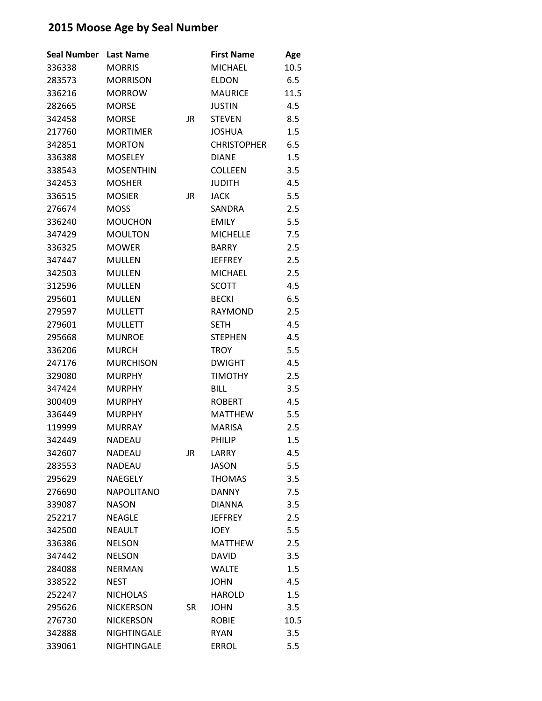| <b>Seal Number</b> | <b>Last Name</b>   |           | <b>First Name</b>  | Age  |
|--------------------|--------------------|-----------|--------------------|------|
| 336338             | <b>MORRIS</b>      |           | <b>MICHAEL</b>     | 10.5 |
| 283573             | <b>MORRISON</b>    |           | <b>ELDON</b>       | 6.5  |
| 336216             | <b>MORROW</b>      |           | <b>MAURICE</b>     | 11.5 |
| 282665             | <b>MORSE</b>       |           | <b>JUSTIN</b>      | 4.5  |
| 342458             | <b>MORSE</b>       | JR        | <b>STEVEN</b>      | 8.5  |
| 217760             | <b>MORTIMER</b>    |           | <b>JOSHUA</b>      | 1.5  |
| 342851             | <b>MORTON</b>      |           | <b>CHRISTOPHER</b> | 6.5  |
| 336388             | <b>MOSELEY</b>     |           | <b>DIANE</b>       | 1.5  |
| 338543             | <b>MOSENTHIN</b>   |           | <b>COLLEEN</b>     | 3.5  |
| 342453             | <b>MOSHER</b>      |           | <b>JUDITH</b>      | 4.5  |
| 336515             | <b>MOSIER</b>      | JR        | <b>JACK</b>        | 5.5  |
| 276674             | <b>MOSS</b>        |           | SANDRA             | 2.5  |
| 336240             | <b>MOUCHON</b>     |           | <b>EMILY</b>       | 5.5  |
| 347429             | <b>MOULTON</b>     |           | <b>MICHELLE</b>    | 7.5  |
| 336325             | <b>MOWER</b>       |           | <b>BARRY</b>       | 2.5  |
| 347447             | <b>MULLEN</b>      |           | <b>JEFFREY</b>     | 2.5  |
| 342503             | <b>MULLEN</b>      |           | <b>MICHAEL</b>     | 2.5  |
| 312596             | <b>MULLEN</b>      |           | <b>SCOTT</b>       | 4.5  |
| 295601             | <b>MULLEN</b>      |           | <b>BECKI</b>       | 6.5  |
| 279597             | <b>MULLETT</b>     |           | <b>RAYMOND</b>     | 2.5  |
| 279601             | <b>MULLETT</b>     |           | <b>SETH</b>        | 4.5  |
| 295668             | <b>MUNROE</b>      |           | <b>STEPHEN</b>     | 4.5  |
| 336206             | <b>MURCH</b>       |           | <b>TROY</b>        | 5.5  |
| 247176             | <b>MURCHISON</b>   |           | <b>DWIGHT</b>      | 4.5  |
| 329080             | <b>MURPHY</b>      |           | <b>TIMOTHY</b>     | 2.5  |
| 347424             | <b>MURPHY</b>      |           | <b>BILL</b>        | 3.5  |
| 300409             | <b>MURPHY</b>      |           | <b>ROBERT</b>      | 4.5  |
| 336449             | <b>MURPHY</b>      |           | <b>MATTHEW</b>     | 5.5  |
| 119999             | <b>MURRAY</b>      |           | <b>MARISA</b>      | 2.5  |
| 342449             | <b>NADEAU</b>      |           | PHILIP             | 1.5  |
| 342607             | <b>NADEAU</b>      | JR        | LARRY              | 4.5  |
| 283553             | <b>NADEAU</b>      |           | <b>JASON</b>       | 5.5  |
| 295629             | NAEGELY            |           | <b>THOMAS</b>      | 3.5  |
| 276690             | <b>NAPOLITANO</b>  |           | <b>DANNY</b>       | 7.5  |
| 339087             | <b>NASON</b>       |           | <b>DIANNA</b>      | 3.5  |
| 252217             | <b>NEAGLE</b>      |           | <b>JEFFREY</b>     | 2.5  |
| 342500             | <b>NEAULT</b>      |           | <b>JOEY</b>        | 5.5  |
| 336386             | <b>NELSON</b>      |           | <b>MATTHEW</b>     | 2.5  |
| 347442             | <b>NELSON</b>      |           | <b>DAVID</b>       | 3.5  |
| 284088             | <b>NERMAN</b>      |           | <b>WALTE</b>       | 1.5  |
| 338522             | <b>NEST</b>        |           | <b>JOHN</b>        | 4.5  |
| 252247             | <b>NICHOLAS</b>    |           | <b>HAROLD</b>      | 1.5  |
| 295626             | <b>NICKERSON</b>   | <b>SR</b> | <b>JOHN</b>        | 3.5  |
| 276730             | <b>NICKERSON</b>   |           | <b>ROBIE</b>       | 10.5 |
| 342888             | <b>NIGHTINGALE</b> |           | <b>RYAN</b>        | 3.5  |
| 339061             | NIGHTINGALE        |           | <b>ERROL</b>       | 5.5  |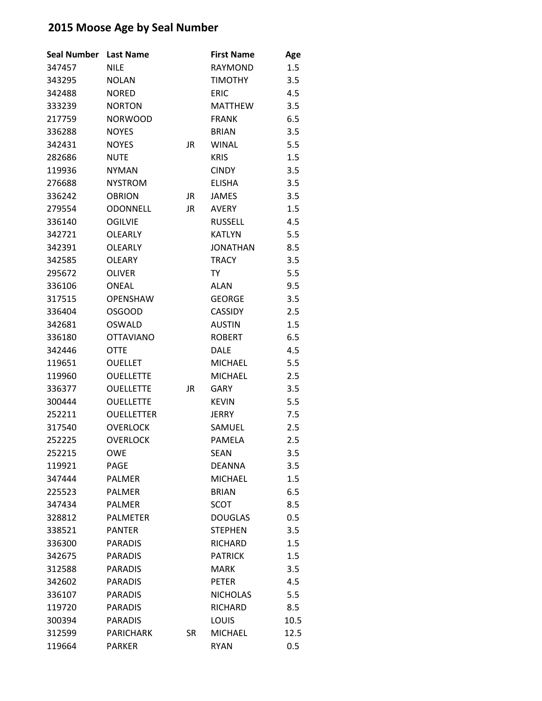| <b>Seal Number</b> | <b>Last Name</b>  |    | <b>First Name</b> | Age  |
|--------------------|-------------------|----|-------------------|------|
| 347457             | <b>NILE</b>       |    | <b>RAYMOND</b>    | 1.5  |
| 343295             | <b>NOLAN</b>      |    | <b>TIMOTHY</b>    | 3.5  |
| 342488             | <b>NORED</b>      |    | <b>ERIC</b>       | 4.5  |
| 333239             | <b>NORTON</b>     |    | <b>MATTHEW</b>    | 3.5  |
| 217759             | <b>NORWOOD</b>    |    | <b>FRANK</b>      | 6.5  |
| 336288             | <b>NOYES</b>      |    | <b>BRIAN</b>      | 3.5  |
| 342431             | <b>NOYES</b>      | JR | <b>WINAL</b>      | 5.5  |
| 282686             | <b>NUTE</b>       |    | <b>KRIS</b>       | 1.5  |
| 119936             | <b>NYMAN</b>      |    | <b>CINDY</b>      | 3.5  |
| 276688             | <b>NYSTROM</b>    |    | <b>ELISHA</b>     | 3.5  |
| 336242             | <b>OBRION</b>     | JR | <b>JAMES</b>      | 3.5  |
| 279554             | <b>ODONNELL</b>   | JR | <b>AVERY</b>      | 1.5  |
| 336140             | <b>OGILVIE</b>    |    | <b>RUSSELL</b>    | 4.5  |
| 342721             | <b>OLEARLY</b>    |    | <b>KATLYN</b>     | 5.5  |
| 342391             | <b>OLEARLY</b>    |    | <b>JONATHAN</b>   | 8.5  |
| 342585             | <b>OLEARY</b>     |    | <b>TRACY</b>      | 3.5  |
| 295672             | <b>OLIVER</b>     |    | TY                | 5.5  |
| 336106             | ONEAL             |    | <b>ALAN</b>       | 9.5  |
| 317515             | <b>OPENSHAW</b>   |    | <b>GEORGE</b>     | 3.5  |
| 336404             | <b>OSGOOD</b>     |    | <b>CASSIDY</b>    | 2.5  |
| 342681             | <b>OSWALD</b>     |    | <b>AUSTIN</b>     | 1.5  |
| 336180             | <b>OTTAVIANO</b>  |    | <b>ROBERT</b>     | 6.5  |
| 342446             | <b>OTTE</b>       |    | <b>DALE</b>       | 4.5  |
| 119651             | <b>OUELLET</b>    |    | <b>MICHAEL</b>    | 5.5  |
| 119960             | <b>OUELLETTE</b>  |    | <b>MICHAEL</b>    | 2.5  |
| 336377             | <b>OUELLETTE</b>  | JR | <b>GARY</b>       | 3.5  |
| 300444             | <b>OUELLETTE</b>  |    | <b>KEVIN</b>      | 5.5  |
| 252211             | <b>OUELLETTER</b> |    | <b>JERRY</b>      | 7.5  |
| 317540             | <b>OVERLOCK</b>   |    | SAMUEL            | 2.5  |
| 252225             | <b>OVERLOCK</b>   |    | PAMELA            | 2.5  |
| 252215             | OWE               |    | <b>SEAN</b>       | 3.5  |
| 119921             | <b>PAGE</b>       |    | <b>DEANNA</b>     | 3.5  |
| 347444             | PALMER            |    | <b>MICHAEL</b>    | 1.5  |
| 225523             | <b>PALMER</b>     |    | <b>BRIAN</b>      | 6.5  |
| 347434             | <b>PALMER</b>     |    | <b>SCOT</b>       | 8.5  |
| 328812             | <b>PALMETER</b>   |    | <b>DOUGLAS</b>    | 0.5  |
| 338521             | <b>PANTER</b>     |    | <b>STEPHEN</b>    | 3.5  |
| 336300             | <b>PARADIS</b>    |    | <b>RICHARD</b>    | 1.5  |
| 342675             | <b>PARADIS</b>    |    | <b>PATRICK</b>    | 1.5  |
| 312588             | <b>PARADIS</b>    |    | <b>MARK</b>       | 3.5  |
| 342602             | <b>PARADIS</b>    |    | <b>PETER</b>      | 4.5  |
| 336107             | <b>PARADIS</b>    |    | <b>NICHOLAS</b>   | 5.5  |
| 119720             | <b>PARADIS</b>    |    | RICHARD           | 8.5  |
| 300394             | <b>PARADIS</b>    |    | <b>LOUIS</b>      | 10.5 |
| 312599             | <b>PARICHARK</b>  | SR | <b>MICHAEL</b>    | 12.5 |
| 119664             | <b>PARKER</b>     |    | <b>RYAN</b>       | 0.5  |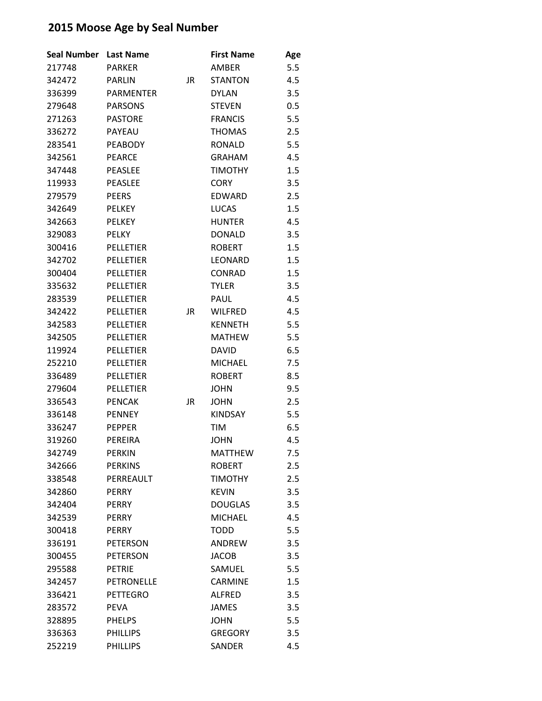| <b>Seal Number</b> | <b>Last Name</b>  |    | <b>First Name</b> | Age |
|--------------------|-------------------|----|-------------------|-----|
| 217748             | <b>PARKER</b>     |    | AMBER             | 5.5 |
| 342472             | <b>PARLIN</b>     | JR | <b>STANTON</b>    | 4.5 |
| 336399             | <b>PARMENTER</b>  |    | <b>DYLAN</b>      | 3.5 |
| 279648             | <b>PARSONS</b>    |    | <b>STEVEN</b>     | 0.5 |
| 271263             | <b>PASTORE</b>    |    | <b>FRANCIS</b>    | 5.5 |
| 336272             | <b>PAYEAU</b>     |    | <b>THOMAS</b>     | 2.5 |
| 283541             | <b>PEABODY</b>    |    | <b>RONALD</b>     | 5.5 |
| 342561             | <b>PEARCE</b>     |    | <b>GRAHAM</b>     | 4.5 |
| 347448             | <b>PEASLEE</b>    |    | <b>TIMOTHY</b>    | 1.5 |
| 119933             | <b>PEASLEE</b>    |    | <b>CORY</b>       | 3.5 |
| 279579             | <b>PEERS</b>      |    | <b>EDWARD</b>     | 2.5 |
| 342649             | <b>PELKEY</b>     |    | <b>LUCAS</b>      | 1.5 |
| 342663             | <b>PELKEY</b>     |    | <b>HUNTER</b>     | 4.5 |
| 329083             | <b>PELKY</b>      |    | <b>DONALD</b>     | 3.5 |
| 300416             | <b>PELLETIER</b>  |    | <b>ROBERT</b>     | 1.5 |
| 342702             | PELLETIER         |    | LEONARD           | 1.5 |
| 300404             | <b>PELLETIER</b>  |    | <b>CONRAD</b>     | 1.5 |
| 335632             | PELLETIER         |    | <b>TYLER</b>      | 3.5 |
| 283539             | <b>PELLETIER</b>  |    | <b>PAUL</b>       | 4.5 |
| 342422             | <b>PELLETIER</b>  | JR | <b>WILFRED</b>    | 4.5 |
| 342583             | <b>PELLETIER</b>  |    | <b>KENNETH</b>    | 5.5 |
| 342505             | <b>PELLETIER</b>  |    | <b>MATHEW</b>     | 5.5 |
| 119924             | <b>PELLETIER</b>  |    | <b>DAVID</b>      | 6.5 |
| 252210             | <b>PELLETIER</b>  |    | <b>MICHAEL</b>    | 7.5 |
| 336489             | <b>PELLETIER</b>  |    | <b>ROBERT</b>     | 8.5 |
| 279604             | PELLETIER         |    | <b>JOHN</b>       | 9.5 |
| 336543             | <b>PENCAK</b>     | JR | <b>JOHN</b>       | 2.5 |
| 336148             | <b>PENNEY</b>     |    | <b>KINDSAY</b>    | 5.5 |
| 336247             | <b>PEPPER</b>     |    | <b>TIM</b>        | 6.5 |
| 319260             | PEREIRA           |    | <b>JOHN</b>       | 4.5 |
| 342749             | <b>PERKIN</b>     |    | <b>MATTHEW</b>    | 7.5 |
| 342666             | <b>PERKINS</b>    |    | <b>ROBERT</b>     | 2.5 |
| 338548             | PERREAULT         |    | <b>TIMOTHY</b>    | 2.5 |
| 342860             | <b>PERRY</b>      |    | <b>KEVIN</b>      | 3.5 |
| 342404             | <b>PERRY</b>      |    | <b>DOUGLAS</b>    | 3.5 |
| 342539             | <b>PERRY</b>      |    | <b>MICHAEL</b>    | 4.5 |
| 300418             | <b>PERRY</b>      |    | <b>TODD</b>       | 5.5 |
| 336191             | <b>PETERSON</b>   |    | <b>ANDREW</b>     | 3.5 |
| 300455             | <b>PETERSON</b>   |    | <b>JACOB</b>      | 3.5 |
| 295588             | <b>PETRIE</b>     |    | SAMUEL            | 5.5 |
| 342457             | <b>PETRONELLE</b> |    | <b>CARMINE</b>    | 1.5 |
| 336421             | <b>PETTEGRO</b>   |    | <b>ALFRED</b>     | 3.5 |
| 283572             | <b>PEVA</b>       |    | <b>JAMES</b>      | 3.5 |
| 328895             | <b>PHELPS</b>     |    | <b>JOHN</b>       | 5.5 |
| 336363             | <b>PHILLIPS</b>   |    | <b>GREGORY</b>    | 3.5 |
| 252219             | <b>PHILLIPS</b>   |    | SANDER            | 4.5 |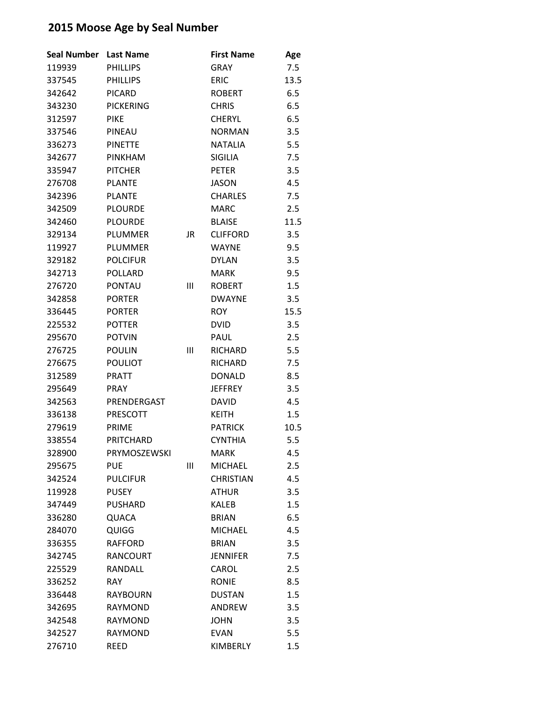| <b>Seal Number</b> | <b>Last Name</b> |    | <b>First Name</b> | Age  |
|--------------------|------------------|----|-------------------|------|
| 119939             | <b>PHILLIPS</b>  |    | <b>GRAY</b>       | 7.5  |
| 337545             | <b>PHILLIPS</b>  |    | <b>ERIC</b>       | 13.5 |
| 342642             | <b>PICARD</b>    |    | <b>ROBERT</b>     | 6.5  |
| 343230             | <b>PICKERING</b> |    | <b>CHRIS</b>      | 6.5  |
| 312597             | <b>PIKE</b>      |    | <b>CHERYL</b>     | 6.5  |
| 337546             | PINEAU           |    | <b>NORMAN</b>     | 3.5  |
| 336273             | <b>PINETTE</b>   |    | <b>NATALIA</b>    | 5.5  |
| 342677             | <b>PINKHAM</b>   |    | <b>SIGILIA</b>    | 7.5  |
| 335947             | <b>PITCHER</b>   |    | <b>PETER</b>      | 3.5  |
| 276708             | <b>PLANTE</b>    |    | <b>JASON</b>      | 4.5  |
| 342396             | <b>PLANTE</b>    |    | <b>CHARLES</b>    | 7.5  |
| 342509             | <b>PLOURDE</b>   |    | <b>MARC</b>       | 2.5  |
| 342460             | <b>PLOURDE</b>   |    | <b>BLAISE</b>     | 11.5 |
| 329134             | PLUMMER          | JR | <b>CLIFFORD</b>   | 3.5  |
| 119927             | <b>PLUMMER</b>   |    | <b>WAYNE</b>      | 9.5  |
| 329182             | <b>POLCIFUR</b>  |    | <b>DYLAN</b>      | 3.5  |
| 342713             | <b>POLLARD</b>   |    | <b>MARK</b>       | 9.5  |
| 276720             | <b>PONTAU</b>    | Ш  | <b>ROBERT</b>     | 1.5  |
| 342858             | <b>PORTER</b>    |    | <b>DWAYNF</b>     | 3.5  |
| 336445             | <b>PORTER</b>    |    | <b>ROY</b>        | 15.5 |
| 225532             | <b>POTTER</b>    |    | <b>DVID</b>       | 3.5  |
| 295670             | <b>POTVIN</b>    |    | PAUL              | 2.5  |
| 276725             | <b>POULIN</b>    | Ш  | <b>RICHARD</b>    | 5.5  |
| 276675             | <b>POULIOT</b>   |    | <b>RICHARD</b>    | 7.5  |
| 312589             | <b>PRATT</b>     |    | <b>DONALD</b>     | 8.5  |
| 295649             | <b>PRAY</b>      |    | <b>JEFFREY</b>    | 3.5  |
| 342563             | PRENDERGAST      |    | <b>DAVID</b>      | 4.5  |
| 336138             | PRESCOTT         |    | <b>KEITH</b>      | 1.5  |
| 279619             | <b>PRIME</b>     |    | <b>PATRICK</b>    | 10.5 |
| 338554             | PRITCHARD        |    | <b>CYNTHIA</b>    | 5.5  |
| 328900             | PRYMOSZEWSKI     |    | <b>MARK</b>       | 4.5  |
| 295675             | <b>PUE</b>       | Ш  | <b>MICHAEL</b>    | 2.5  |
| 342524             | <b>PULCIFUR</b>  |    | <b>CHRISTIAN</b>  | 4.5  |
| 119928             | <b>PUSEY</b>     |    | <b>ATHUR</b>      | 3.5  |
| 347449             | <b>PUSHARD</b>   |    | <b>KALEB</b>      | 1.5  |
| 336280             | QUACA            |    | <b>BRIAN</b>      | 6.5  |
| 284070             | QUIGG            |    | <b>MICHAEL</b>    | 4.5  |
| 336355             | <b>RAFFORD</b>   |    | <b>BRIAN</b>      | 3.5  |
| 342745             | <b>RANCOURT</b>  |    | <b>JENNIFER</b>   | 7.5  |
| 225529             | RANDALL          |    | CAROL             | 2.5  |
| 336252             | <b>RAY</b>       |    | <b>RONIE</b>      | 8.5  |
| 336448             | <b>RAYBOURN</b>  |    | <b>DUSTAN</b>     | 1.5  |
| 342695             | <b>RAYMOND</b>   |    | ANDREW            | 3.5  |
| 342548             | <b>RAYMOND</b>   |    | <b>JOHN</b>       | 3.5  |
| 342527             | <b>RAYMOND</b>   |    | <b>EVAN</b>       | 5.5  |
| 276710             | REED             |    | KIMBERLY          | 1.5  |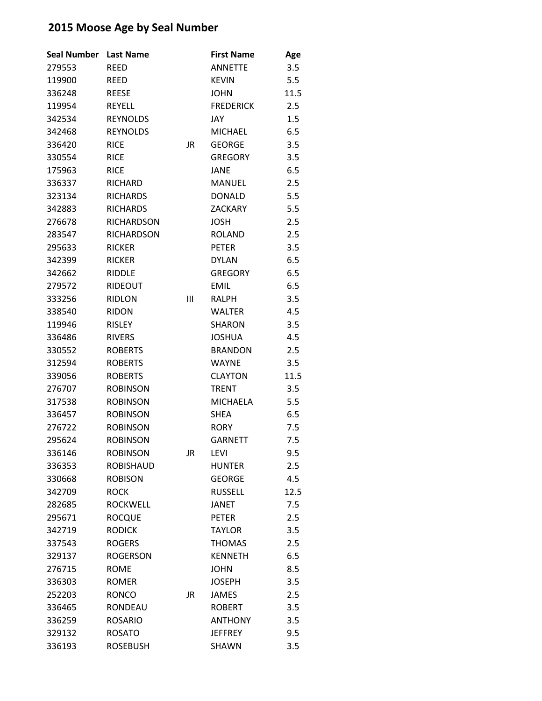| <b>Seal Number</b> | <b>Last Name</b>  |           | <b>First Name</b> | Age  |
|--------------------|-------------------|-----------|-------------------|------|
| 279553             | <b>REED</b>       |           | <b>ANNETTE</b>    | 3.5  |
| 119900             | <b>REED</b>       |           | <b>KEVIN</b>      | 5.5  |
| 336248             | <b>REESE</b>      |           | <b>JOHN</b>       | 11.5 |
| 119954             | <b>REYELL</b>     |           | <b>FREDERICK</b>  | 2.5  |
| 342534             | <b>REYNOLDS</b>   |           | JAY               | 1.5  |
| 342468             | <b>REYNOLDS</b>   |           | <b>MICHAEL</b>    | 6.5  |
| 336420             | <b>RICE</b>       | JR        | <b>GEORGE</b>     | 3.5  |
| 330554             | <b>RICE</b>       |           | <b>GREGORY</b>    | 3.5  |
| 175963             | <b>RICE</b>       |           | <b>JANE</b>       | 6.5  |
| 336337             | RICHARD           |           | MANUEL            | 2.5  |
| 323134             | <b>RICHARDS</b>   |           | <b>DONALD</b>     | 5.5  |
| 342883             | <b>RICHARDS</b>   |           | <b>ZACKARY</b>    | 5.5  |
| 276678             | <b>RICHARDSON</b> |           | <b>JOSH</b>       | 2.5  |
| 283547             | <b>RICHARDSON</b> |           | <b>ROLAND</b>     | 2.5  |
| 295633             | <b>RICKER</b>     |           | <b>PETER</b>      | 3.5  |
| 342399             | <b>RICKER</b>     |           | <b>DYLAN</b>      | 6.5  |
| 342662             | <b>RIDDLE</b>     |           | <b>GREGORY</b>    | 6.5  |
| 279572             | RIDEOUT           |           | <b>EMIL</b>       | 6.5  |
| 333256             | <b>RIDLON</b>     | Ш         | RALPH             | 3.5  |
| 338540             | <b>RIDON</b>      |           | <b>WALTER</b>     | 4.5  |
| 119946             | <b>RISLEY</b>     |           | <b>SHARON</b>     | 3.5  |
| 336486             | <b>RIVERS</b>     |           | <b>JOSHUA</b>     | 4.5  |
| 330552             | <b>ROBERTS</b>    |           | <b>BRANDON</b>    | 2.5  |
| 312594             | <b>ROBERTS</b>    |           | <b>WAYNE</b>      | 3.5  |
| 339056             | <b>ROBERTS</b>    |           | <b>CLAYTON</b>    | 11.5 |
| 276707             | <b>ROBINSON</b>   |           | <b>TRENT</b>      | 3.5  |
| 317538             | <b>ROBINSON</b>   |           | <b>MICHAELA</b>   | 5.5  |
| 336457             | <b>ROBINSON</b>   |           | <b>SHEA</b>       | 6.5  |
| 276722             | <b>ROBINSON</b>   |           | <b>RORY</b>       | 7.5  |
| 295624             | <b>ROBINSON</b>   |           | <b>GARNETT</b>    | 7.5  |
| 336146             | <b>ROBINSON</b>   | <b>JR</b> | <b>LEVI</b>       | 9.5  |
| 336353             | <b>ROBISHAUD</b>  |           | <b>HUNTER</b>     | 2.5  |
| 330668             | <b>ROBISON</b>    |           | <b>GEORGE</b>     | 4.5  |
| 342709             | <b>ROCK</b>       |           | <b>RUSSELL</b>    | 12.5 |
| 282685             | <b>ROCKWELL</b>   |           | <b>JANET</b>      | 7.5  |
| 295671             | <b>ROCQUE</b>     |           | <b>PETER</b>      | 2.5  |
| 342719             | <b>RODICK</b>     |           | <b>TAYLOR</b>     | 3.5  |
| 337543             | <b>ROGERS</b>     |           | <b>THOMAS</b>     | 2.5  |
| 329137             | <b>ROGERSON</b>   |           | <b>KENNETH</b>    | 6.5  |
| 276715             | <b>ROME</b>       |           | <b>JOHN</b>       | 8.5  |
| 336303             | <b>ROMER</b>      |           | <b>JOSEPH</b>     | 3.5  |
| 252203             | <b>RONCO</b>      | JR.       | <b>JAMES</b>      | 2.5  |
| 336465             | RONDEAU           |           | <b>ROBERT</b>     | 3.5  |
| 336259             | <b>ROSARIO</b>    |           | <b>ANTHONY</b>    | 3.5  |
| 329132             | <b>ROSATO</b>     |           | <b>JEFFREY</b>    | 9.5  |
| 336193             | <b>ROSEBUSH</b>   |           | SHAWN             | 3.5  |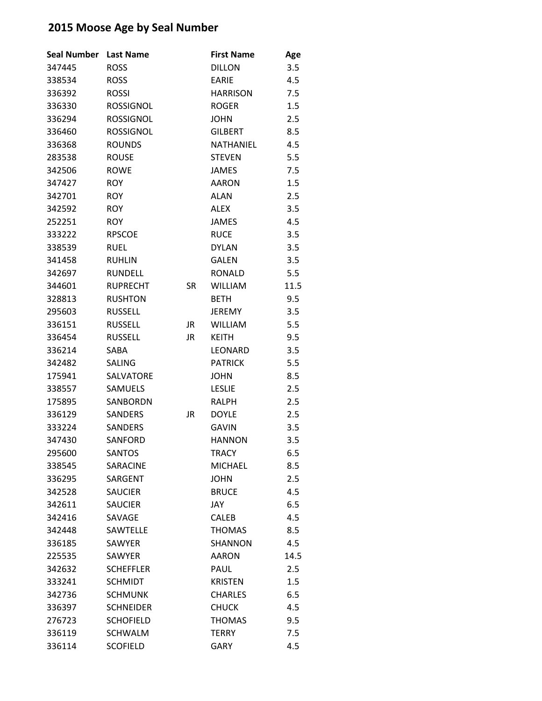| <b>Seal Number</b> | <b>Last Name</b> |           | <b>First Name</b> | Age  |
|--------------------|------------------|-----------|-------------------|------|
| 347445             | <b>ROSS</b>      |           | <b>DILLON</b>     | 3.5  |
| 338534             | <b>ROSS</b>      |           | <b>EARIE</b>      | 4.5  |
| 336392             | <b>ROSSI</b>     |           | <b>HARRISON</b>   | 7.5  |
| 336330             | <b>ROSSIGNOL</b> |           | <b>ROGER</b>      | 1.5  |
| 336294             | <b>ROSSIGNOL</b> |           | <b>JOHN</b>       | 2.5  |
| 336460             | <b>ROSSIGNOL</b> |           | <b>GILBERT</b>    | 8.5  |
| 336368             | <b>ROUNDS</b>    |           | NATHANIEL         | 4.5  |
| 283538             | <b>ROUSE</b>     |           | <b>STEVEN</b>     | 5.5  |
| 342506             | <b>ROWE</b>      |           | <b>JAMES</b>      | 7.5  |
| 347427             | <b>ROY</b>       |           | <b>AARON</b>      | 1.5  |
| 342701             | <b>ROY</b>       |           | <b>ALAN</b>       | 2.5  |
| 342592             | <b>ROY</b>       |           | <b>ALEX</b>       | 3.5  |
| 252251             | <b>ROY</b>       |           | <b>JAMES</b>      | 4.5  |
| 333222             | <b>RPSCOE</b>    |           | <b>RUCE</b>       | 3.5  |
| 338539             | RUEL             |           | <b>DYLAN</b>      | 3.5  |
| 341458             | <b>RUHLIN</b>    |           | <b>GALEN</b>      | 3.5  |
| 342697             | <b>RUNDELL</b>   |           | <b>RONALD</b>     | 5.5  |
| 344601             | <b>RUPRECHT</b>  | <b>SR</b> | <b>WILLIAM</b>    | 11.5 |
| 328813             | <b>RUSHTON</b>   |           | <b>BETH</b>       | 9.5  |
| 295603             | <b>RUSSELL</b>   |           | <b>JEREMY</b>     | 3.5  |
| 336151             | <b>RUSSELL</b>   | JR        | <b>WILLIAM</b>    | 5.5  |
| 336454             | <b>RUSSELL</b>   | JR        | <b>KEITH</b>      | 9.5  |
| 336214             | SABA             |           | <b>LEONARD</b>    | 3.5  |
| 342482             | <b>SALING</b>    |           | <b>PATRICK</b>    | 5.5  |
| 175941             | <b>SALVATORE</b> |           | <b>JOHN</b>       | 8.5  |
| 338557             | SAMUELS          |           | <b>LESLIE</b>     | 2.5  |
| 175895             | SANBORDN         |           | <b>RALPH</b>      | 2.5  |
| 336129             | <b>SANDERS</b>   | JR        | <b>DOYLE</b>      | 2.5  |
| 333224             | SANDERS          |           | <b>GAVIN</b>      | 3.5  |
| 347430             | <b>SANFORD</b>   |           | <b>HANNON</b>     | 3.5  |
| 295600             | <b>SANTOS</b>    |           | <b>TRACY</b>      | 6.5  |
| 338545             | <b>SARACINE</b>  |           | <b>MICHAEL</b>    | 8.5  |
| 336295             | SARGENT          |           | <b>JOHN</b>       | 2.5  |
| 342528             | <b>SAUCIER</b>   |           | <b>BRUCE</b>      | 4.5  |
| 342611             | <b>SAUCIER</b>   |           | JAY               | 6.5  |
| 342416             | SAVAGE           |           | <b>CALEB</b>      | 4.5  |
| 342448             | SAWTELLE         |           | <b>THOMAS</b>     | 8.5  |
| 336185             | SAWYER           |           | <b>SHANNON</b>    | 4.5  |
| 225535             | <b>SAWYER</b>    |           | <b>AARON</b>      | 14.5 |
| 342632             | <b>SCHEFFLER</b> |           | PAUL              | 2.5  |
| 333241             | <b>SCHMIDT</b>   |           | <b>KRISTEN</b>    | 1.5  |
| 342736             | <b>SCHMUNK</b>   |           | <b>CHARLES</b>    | 6.5  |
| 336397             | <b>SCHNEIDER</b> |           | <b>CHUCK</b>      | 4.5  |
| 276723             | <b>SCHOFIELD</b> |           | <b>THOMAS</b>     | 9.5  |
| 336119             | <b>SCHWALM</b>   |           | <b>TERRY</b>      | 7.5  |
| 336114             | <b>SCOFIELD</b>  |           | GARY              | 4.5  |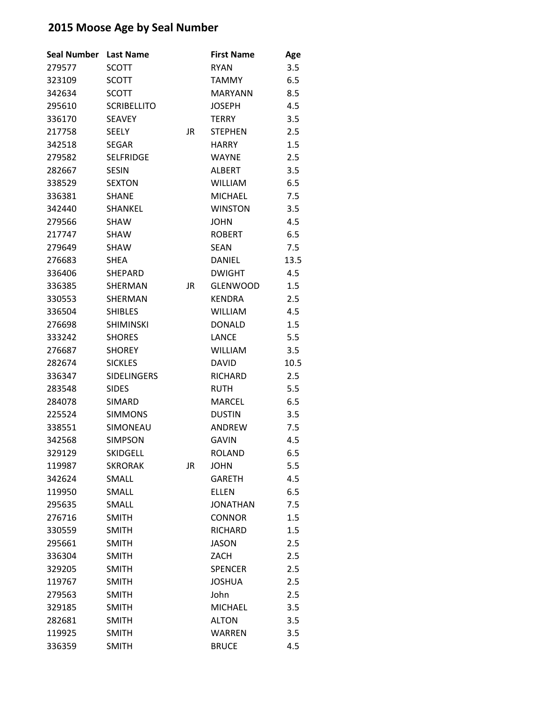| <b>Seal Number</b> | <b>Last Name</b>   |           | <b>First Name</b> | Age  |
|--------------------|--------------------|-----------|-------------------|------|
| 279577             | <b>SCOTT</b>       |           | <b>RYAN</b>       | 3.5  |
| 323109             | <b>SCOTT</b>       |           | <b>TAMMY</b>      | 6.5  |
| 342634             | <b>SCOTT</b>       |           | <b>MARYANN</b>    | 8.5  |
| 295610             | <b>SCRIBELLITO</b> |           | <b>JOSEPH</b>     | 4.5  |
| 336170             | <b>SEAVEY</b>      |           | <b>TERRY</b>      | 3.5  |
| 217758             | <b>SEELY</b>       | JR        | <b>STEPHEN</b>    | 2.5  |
| 342518             | <b>SEGAR</b>       |           | <b>HARRY</b>      | 1.5  |
| 279582             | <b>SELFRIDGE</b>   |           | <b>WAYNE</b>      | 2.5  |
| 282667             | <b>SESIN</b>       |           | <b>ALBERT</b>     | 3.5  |
| 338529             | <b>SEXTON</b>      |           | <b>WILLIAM</b>    | 6.5  |
| 336381             | <b>SHANE</b>       |           | <b>MICHAEL</b>    | 7.5  |
| 342440             | SHANKEL            |           | <b>WINSTON</b>    | 3.5  |
| 279566             | <b>SHAW</b>        |           | <b>JOHN</b>       | 4.5  |
| 217747             | <b>SHAW</b>        |           | <b>ROBERT</b>     | 6.5  |
| 279649             | <b>SHAW</b>        |           | <b>SEAN</b>       | 7.5  |
| 276683             | <b>SHEA</b>        |           | <b>DANIEL</b>     | 13.5 |
| 336406             | <b>SHEPARD</b>     |           | <b>DWIGHT</b>     | 4.5  |
| 336385             | <b>SHERMAN</b>     | JR        | <b>GLENWOOD</b>   | 1.5  |
| 330553             | <b>SHERMAN</b>     |           | <b>KENDRA</b>     | 2.5  |
| 336504             | <b>SHIBLES</b>     |           | <b>WILLIAM</b>    | 4.5  |
| 276698             | <b>SHIMINSKI</b>   |           | <b>DONALD</b>     | 1.5  |
| 333242             | <b>SHORES</b>      |           | <b>LANCE</b>      | 5.5  |
| 276687             | <b>SHOREY</b>      |           | <b>WILLIAM</b>    | 3.5  |
| 282674             | <b>SICKLES</b>     |           | <b>DAVID</b>      | 10.5 |
| 336347             | <b>SIDELINGERS</b> |           | <b>RICHARD</b>    | 2.5  |
| 283548             | <b>SIDES</b>       |           | <b>RUTH</b>       | 5.5  |
| 284078             | <b>SIMARD</b>      |           | <b>MARCEL</b>     | 6.5  |
| 225524             | <b>SIMMONS</b>     |           | <b>DUSTIN</b>     | 3.5  |
| 338551             | SIMONEAU           |           | <b>ANDREW</b>     | 7.5  |
| 342568             | <b>SIMPSON</b>     |           | <b>GAVIN</b>      | 4.5  |
| 329129             | <b>SKIDGELL</b>    |           | <b>ROLAND</b>     | 6.5  |
| 119987             | <b>SKRORAK</b>     | <b>JR</b> | <b>JOHN</b>       | 5.5  |
| 342624             | SMALL              |           | <b>GARETH</b>     | 4.5  |
| 119950             | SMALL              |           | <b>ELLEN</b>      | 6.5  |
| 295635             | <b>SMALL</b>       |           | <b>JONATHAN</b>   | 7.5  |
| 276716             | <b>SMITH</b>       |           | <b>CONNOR</b>     | 1.5  |
| 330559             | <b>SMITH</b>       |           | <b>RICHARD</b>    | 1.5  |
| 295661             | <b>SMITH</b>       |           | <b>JASON</b>      | 2.5  |
| 336304             | <b>SMITH</b>       |           | ZACH              | 2.5  |
| 329205             | <b>SMITH</b>       |           | <b>SPENCER</b>    | 2.5  |
| 119767             | <b>SMITH</b>       |           | <b>JOSHUA</b>     | 2.5  |
| 279563             | <b>SMITH</b>       |           | John              | 2.5  |
| 329185             | <b>SMITH</b>       |           | <b>MICHAEL</b>    | 3.5  |
| 282681             | <b>SMITH</b>       |           | <b>ALTON</b>      | 3.5  |
| 119925             | <b>SMITH</b>       |           | <b>WARREN</b>     | 3.5  |
| 336359             | <b>SMITH</b>       |           | <b>BRUCE</b>      | 4.5  |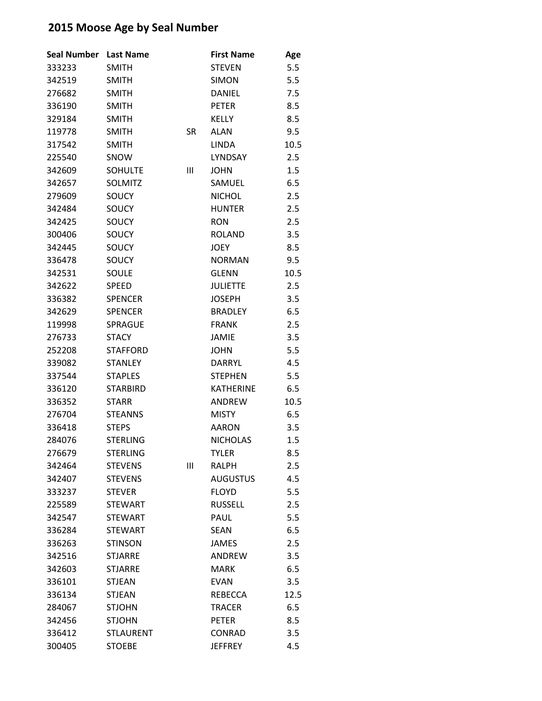| <b>Seal Number</b> | <b>Last Name</b> |                | <b>First Name</b> | Age  |
|--------------------|------------------|----------------|-------------------|------|
| 333233             | <b>SMITH</b>     |                | <b>STEVEN</b>     | 5.5  |
| 342519             | <b>SMITH</b>     |                | <b>SIMON</b>      | 5.5  |
| 276682             | <b>SMITH</b>     |                | <b>DANIEL</b>     | 7.5  |
| 336190             | <b>SMITH</b>     |                | <b>PETER</b>      | 8.5  |
| 329184             | <b>SMITH</b>     |                | <b>KELLY</b>      | 8.5  |
| 119778             | <b>SMITH</b>     | <b>SR</b>      | <b>ALAN</b>       | 9.5  |
| 317542             | <b>SMITH</b>     |                | <b>LINDA</b>      | 10.5 |
| 225540             | SNOW             |                | LYNDSAY           | 2.5  |
| 342609             | <b>SOHULTE</b>   | $\mathbf{III}$ | <b>JOHN</b>       | 1.5  |
| 342657             | SOLMITZ          |                | SAMUEL            | 6.5  |
| 279609             | SOUCY            |                | <b>NICHOL</b>     | 2.5  |
| 342484             | SOUCY            |                | <b>HUNTER</b>     | 2.5  |
| 342425             | SOUCY            |                | <b>RON</b>        | 2.5  |
| 300406             | SOUCY            |                | <b>ROLAND</b>     | 3.5  |
| 342445             | SOUCY            |                | <b>JOEY</b>       | 8.5  |
| 336478             | SOUCY            |                | <b>NORMAN</b>     | 9.5  |
| 342531             | SOULE            |                | <b>GLENN</b>      | 10.5 |
| 342622             | <b>SPEED</b>     |                | <b>JULIETTE</b>   | 2.5  |
| 336382             | <b>SPENCER</b>   |                | <b>JOSEPH</b>     | 3.5  |
| 342629             | <b>SPENCER</b>   |                | <b>BRADLEY</b>    | 6.5  |
| 119998             | <b>SPRAGUE</b>   |                | <b>FRANK</b>      | 2.5  |
| 276733             | <b>STACY</b>     |                | <b>JAMIE</b>      | 3.5  |
| 252208             | <b>STAFFORD</b>  |                | <b>JOHN</b>       | 5.5  |
| 339082             | <b>STANLEY</b>   |                | <b>DARRYL</b>     | 4.5  |
| 337544             | <b>STAPLES</b>   |                | <b>STEPHEN</b>    | 5.5  |
| 336120             | <b>STARBIRD</b>  |                | <b>KATHERINE</b>  | 6.5  |
| 336352             | <b>STARR</b>     |                | <b>ANDREW</b>     | 10.5 |
| 276704             | <b>STEANNS</b>   |                | <b>MISTY</b>      | 6.5  |
| 336418             | <b>STEPS</b>     |                | <b>AARON</b>      | 3.5  |
| 284076             | <b>STERLING</b>  |                | <b>NICHOLAS</b>   | 1.5  |
| 276679             | <b>STERLING</b>  |                | <b>TYLER</b>      | 8.5  |
| 342464             | <b>STEVENS</b>   | Ш              | <b>RALPH</b>      | 2.5  |
| 342407             | <b>STEVENS</b>   |                | <b>AUGUSTUS</b>   | 4.5  |
| 333237             | <b>STEVER</b>    |                | <b>FLOYD</b>      | 5.5  |
| 225589             | <b>STEWART</b>   |                | <b>RUSSELL</b>    | 2.5  |
| 342547             | <b>STEWART</b>   |                | PAUL              | 5.5  |
| 336284             | <b>STEWART</b>   |                | <b>SEAN</b>       | 6.5  |
| 336263             | <b>STINSON</b>   |                | <b>JAMES</b>      | 2.5  |
| 342516             | <b>STJARRE</b>   |                | ANDREW            | 3.5  |
| 342603             | <b>STJARRE</b>   |                | <b>MARK</b>       | 6.5  |
| 336101             | <b>STJEAN</b>    |                | <b>EVAN</b>       | 3.5  |
| 336134             | <b>STJEAN</b>    |                | <b>REBECCA</b>    | 12.5 |
| 284067             | <b>STJOHN</b>    |                | <b>TRACER</b>     | 6.5  |
| 342456             | <b>STJOHN</b>    |                | <b>PETER</b>      | 8.5  |
| 336412             | <b>STLAURENT</b> |                | <b>CONRAD</b>     | 3.5  |
| 300405             | <b>STOEBE</b>    |                | <b>JEFFREY</b>    | 4.5  |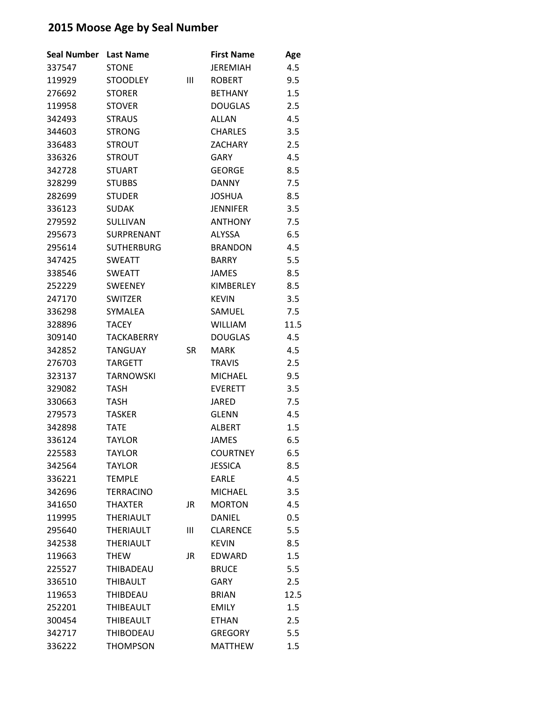| <b>Seal Number</b> | <b>Last Name</b>  |           | <b>First Name</b> | Age  |
|--------------------|-------------------|-----------|-------------------|------|
| 337547             | <b>STONE</b>      |           | <b>JEREMIAH</b>   | 4.5  |
| 119929             | <b>STOODLEY</b>   | Ш         | <b>ROBERT</b>     | 9.5  |
| 276692             | <b>STORER</b>     |           | <b>BETHANY</b>    | 1.5  |
| 119958             | <b>STOVER</b>     |           | <b>DOUGLAS</b>    | 2.5  |
| 342493             | <b>STRAUS</b>     |           | <b>ALLAN</b>      | 4.5  |
| 344603             | <b>STRONG</b>     |           | <b>CHARLES</b>    | 3.5  |
| 336483             | <b>STROUT</b>     |           | <b>ZACHARY</b>    | 2.5  |
| 336326             | <b>STROUT</b>     |           | <b>GARY</b>       | 4.5  |
| 342728             | <b>STUART</b>     |           | <b>GEORGE</b>     | 8.5  |
| 328299             | <b>STUBBS</b>     |           | <b>DANNY</b>      | 7.5  |
| 282699             | <b>STUDER</b>     |           | <b>JOSHUA</b>     | 8.5  |
| 336123             | <b>SUDAK</b>      |           | <b>JENNIFER</b>   | 3.5  |
| 279592             | SULLIVAN          |           | <b>ANTHONY</b>    | 7.5  |
| 295673             | <b>SURPRENANT</b> |           | <b>ALYSSA</b>     | 6.5  |
| 295614             | <b>SUTHERBURG</b> |           | <b>BRANDON</b>    | 4.5  |
| 347425             | <b>SWEATT</b>     |           | <b>BARRY</b>      | 5.5  |
| 338546             | <b>SWEATT</b>     |           | <b>JAMES</b>      | 8.5  |
| 252229             | <b>SWEENEY</b>    |           | KIMBERLEY         | 8.5  |
| 247170             | <b>SWITZER</b>    |           | <b>KEVIN</b>      | 3.5  |
| 336298             | SYMALEA           |           | SAMUEL            | 7.5  |
| 328896             | <b>TACEY</b>      |           | <b>WILLIAM</b>    | 11.5 |
| 309140             | <b>TACKABERRY</b> |           | <b>DOUGLAS</b>    | 4.5  |
| 342852             | <b>TANGUAY</b>    | <b>SR</b> | <b>MARK</b>       | 4.5  |
| 276703             | <b>TARGETT</b>    |           | <b>TRAVIS</b>     | 2.5  |
| 323137             | <b>TARNOWSKI</b>  |           | <b>MICHAEL</b>    | 9.5  |
| 329082             | TASH              |           | <b>EVERETT</b>    | 3.5  |
| 330663             | <b>TASH</b>       |           | <b>JARED</b>      | 7.5  |
| 279573             | <b>TASKER</b>     |           | <b>GLENN</b>      | 4.5  |
| 342898             | TATE              |           | <b>ALBERT</b>     | 1.5  |
| 336124             | <b>TAYLOR</b>     |           | <b>JAMES</b>      | 6.5  |
| 225583             | <b>TAYLOR</b>     |           | <b>COURTNEY</b>   | 6.5  |
| 342564             | <b>TAYLOR</b>     |           | <b>JESSICA</b>    | 8.5  |
| 336221             | <b>TEMPLE</b>     |           | <b>EARLE</b>      | 4.5  |
| 342696             | <b>TERRACINO</b>  |           | <b>MICHAEL</b>    | 3.5  |
| 341650             | <b>THAXTER</b>    | JR        | <b>MORTON</b>     | 4.5  |
| 119995             | <b>THERIAULT</b>  |           | <b>DANIEL</b>     | 0.5  |
| 295640             | <b>THERIAULT</b>  | Ш         | <b>CLARENCE</b>   | 5.5  |
| 342538             | <b>THERIAULT</b>  |           | <b>KEVIN</b>      | 8.5  |
| 119663             | <b>THEW</b>       | JR        | <b>EDWARD</b>     | 1.5  |
| 225527             | <b>THIBADEAU</b>  |           | <b>BRUCE</b>      | 5.5  |
| 336510             | <b>THIBAULT</b>   |           | GARY              | 2.5  |
| 119653             | <b>THIBDEAU</b>   |           | <b>BRIAN</b>      | 12.5 |
| 252201             | <b>THIBEAULT</b>  |           | <b>EMILY</b>      | 1.5  |
| 300454             | <b>THIBEAULT</b>  |           | <b>ETHAN</b>      | 2.5  |
| 342717             | <b>THIBODEAU</b>  |           | <b>GREGORY</b>    | 5.5  |
| 336222             | <b>THOMPSON</b>   |           | <b>MATTHEW</b>    | 1.5  |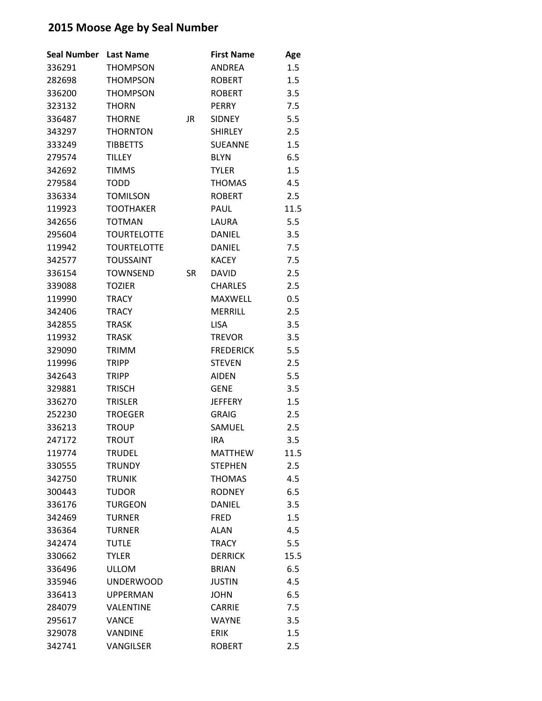| <b>Seal Number</b> | <b>Last Name</b>   |           | <b>First Name</b> | Age  |
|--------------------|--------------------|-----------|-------------------|------|
| 336291             | <b>THOMPSON</b>    |           | ANDREA            | 1.5  |
| 282698             | <b>THOMPSON</b>    |           | <b>ROBERT</b>     | 1.5  |
| 336200             | <b>THOMPSON</b>    |           | <b>ROBERT</b>     | 3.5  |
| 323132             | <b>THORN</b>       |           | <b>PERRY</b>      | 7.5  |
| 336487             | <b>THORNE</b>      | <b>JR</b> | <b>SIDNEY</b>     | 5.5  |
| 343297             | <b>THORNTON</b>    |           | <b>SHIRLEY</b>    | 2.5  |
| 333249             | <b>TIBBETTS</b>    |           | <b>SUEANNE</b>    | 1.5  |
| 279574             | <b>TILLEY</b>      |           | <b>BLYN</b>       | 6.5  |
| 342692             | <b>TIMMS</b>       |           | <b>TYLER</b>      | 1.5  |
| 279584             | <b>TODD</b>        |           | <b>THOMAS</b>     | 4.5  |
| 336334             | <b>TOMILSON</b>    |           | <b>ROBERT</b>     | 2.5  |
| 119923             | <b>TOOTHAKER</b>   |           | PAUL              | 11.5 |
| 342656             | <b>TOTMAN</b>      |           | LAURA             | 5.5  |
| 295604             | <b>TOURTELOTTE</b> |           | <b>DANIEL</b>     | 3.5  |
| 119942             | <b>TOURTELOTTE</b> |           | <b>DANIEL</b>     | 7.5  |
| 342577             | <b>TOUSSAINT</b>   |           | <b>KACEY</b>      | 7.5  |
| 336154             | <b>TOWNSEND</b>    | <b>SR</b> | <b>DAVID</b>      | 2.5  |
| 339088             | <b>TOZIER</b>      |           | <b>CHARLES</b>    | 2.5  |
| 119990             | TRACY              |           | <b>MAXWELL</b>    | 0.5  |
| 342406             | <b>TRACY</b>       |           | <b>MERRILL</b>    | 2.5  |
| 342855             | <b>TRASK</b>       |           | <b>LISA</b>       | 3.5  |
| 119932             | <b>TRASK</b>       |           | <b>TREVOR</b>     | 3.5  |
| 329090             | TRIMM              |           | <b>FREDERICK</b>  | 5.5  |
| 119996             | <b>TRIPP</b>       |           | <b>STEVEN</b>     | 2.5  |
| 342643             | <b>TRIPP</b>       |           | <b>AIDEN</b>      | 5.5  |
| 329881             | <b>TRISCH</b>      |           | <b>GENE</b>       | 3.5  |
| 336270             | <b>TRISLER</b>     |           | <b>JEFFERY</b>    | 1.5  |
| 252230             | <b>TROEGER</b>     |           | <b>GRAIG</b>      | 2.5  |
| 336213             | <b>TROUP</b>       |           | SAMUEL            | 2.5  |
| 247172             | <b>TROUT</b>       |           | <b>IRA</b>        | 3.5  |
| 119774             | <b>TRUDEL</b>      |           | <b>MATTHEW</b>    | 11.5 |
| 330555             | <b>TRUNDY</b>      |           | <b>STEPHEN</b>    | 2.5  |
| 342750             | <b>TRUNIK</b>      |           | <b>THOMAS</b>     | 4.5  |
| 300443             | <b>TUDOR</b>       |           | <b>RODNEY</b>     | 6.5  |
| 336176             | <b>TURGEON</b>     |           | <b>DANIEL</b>     | 3.5  |
| 342469             | <b>TURNER</b>      |           | <b>FRED</b>       | 1.5  |
| 336364             | <b>TURNER</b>      |           | <b>ALAN</b>       | 4.5  |
| 342474             | <b>TUTLE</b>       |           | <b>TRACY</b>      | 5.5  |
| 330662             | <b>TYLER</b>       |           | <b>DERRICK</b>    | 15.5 |
| 336496             | <b>ULLOM</b>       |           | <b>BRIAN</b>      | 6.5  |
| 335946             | <b>UNDERWOOD</b>   |           | <b>JUSTIN</b>     | 4.5  |
| 336413             | <b>UPPERMAN</b>    |           | <b>JOHN</b>       | 6.5  |
| 284079             | <b>VALENTINE</b>   |           | <b>CARRIE</b>     | 7.5  |
| 295617             | <b>VANCE</b>       |           | <b>WAYNE</b>      | 3.5  |
| 329078             | VANDINE            |           | <b>ERIK</b>       | 1.5  |
| 342741             | VANGILSER          |           | <b>ROBERT</b>     | 2.5  |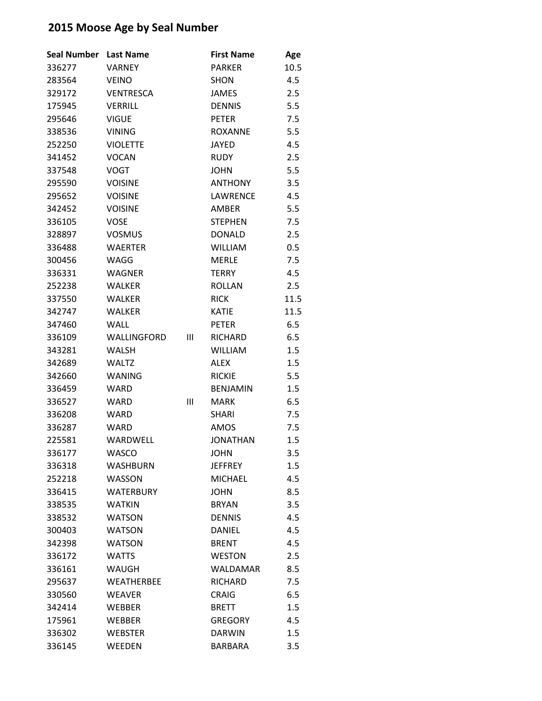| Seal Number | <b>Last Name</b>  |   | <b>First Name</b> | Age     |
|-------------|-------------------|---|-------------------|---------|
| 336277      | VARNEY            |   | PARKER            | 10.5    |
| 283564      | <b>VEINO</b>      |   | <b>SHON</b>       | 4.5     |
| 329172      | <b>VENTRESCA</b>  |   | <b>JAMES</b>      | 2.5     |
| 175945      | <b>VERRILL</b>    |   | <b>DENNIS</b>     | 5.5     |
| 295646      | <b>VIGUE</b>      |   | <b>PETER</b>      | 7.5     |
| 338536      | <b>VINING</b>     |   | <b>ROXANNE</b>    | 5.5     |
| 252250      | <b>VIOLETTE</b>   |   | <b>JAYED</b>      | 4.5     |
| 341452      | <b>VOCAN</b>      |   | <b>RUDY</b>       | 2.5     |
| 337548      | <b>VOGT</b>       |   | <b>JOHN</b>       | 5.5     |
| 295590      | <b>VOISINE</b>    |   | <b>ANTHONY</b>    | 3.5     |
| 295652      | <b>VOISINE</b>    |   | LAWRENCE          | 4.5     |
| 342452      | <b>VOISINE</b>    |   | AMBER             | 5.5     |
| 336105      | <b>VOSE</b>       |   | <b>STEPHEN</b>    | 7.5     |
| 328897      | <b>VOSMUS</b>     |   | <b>DONALD</b>     | 2.5     |
| 336488      | <b>WAERTER</b>    |   | <b>WILLIAM</b>    | 0.5     |
| 300456      | WAGG              |   | <b>MERLE</b>      | 7.5     |
| 336331      | <b>WAGNER</b>     |   | <b>TERRY</b>      | 4.5     |
| 252238      | <b>WALKER</b>     |   | <b>ROLLAN</b>     | 2.5     |
| 337550      | WALKER            |   | <b>RICK</b>       | 11.5    |
| 342747      | <b>WALKER</b>     |   | <b>KATIE</b>      | 11.5    |
| 347460      | <b>WALL</b>       |   | <b>PETER</b>      | 6.5     |
| 336109      | WALLINGFORD       | Ш | <b>RICHARD</b>    | 6.5     |
| 343281      | <b>WALSH</b>      |   | <b>WILLIAM</b>    | 1.5     |
| 342689      | <b>WALTZ</b>      |   | ALEX              | $1.5\,$ |
| 342660      | <b>WANING</b>     |   | <b>RICKIE</b>     | 5.5     |
| 336459      | <b>WARD</b>       |   | <b>BENJAMIN</b>   | 1.5     |
| 336527      | WARD              | Ш | <b>MARK</b>       | 6.5     |
| 336208      | WARD              |   | SHARI             | 7.5     |
| 336287      | <b>WARD</b>       |   | AMOS              | 7.5     |
| 225581      | WARDWELL          |   | <b>JONATHAN</b>   | 1.5     |
| 336177      | WASCO             |   | <b>JOHN</b>       | 3.5     |
| 336318      | <b>WASHBURN</b>   |   | <b>JEFFREY</b>    | 1.5     |
| 252218      | <b>WASSON</b>     |   | <b>MICHAEL</b>    | 4.5     |
| 336415      | <b>WATERBURY</b>  |   | <b>JOHN</b>       | 8.5     |
| 338535      | <b>WATKIN</b>     |   | <b>BRYAN</b>      | 3.5     |
| 338532      | <b>WATSON</b>     |   | <b>DENNIS</b>     | 4.5     |
| 300403      | <b>WATSON</b>     |   | DANIEL            | 4.5     |
| 342398      | <b>WATSON</b>     |   | <b>BRENT</b>      | 4.5     |
| 336172      | <b>WATTS</b>      |   | <b>WESTON</b>     | 2.5     |
| 336161      | WAUGH             |   | WALDAMAR          | 8.5     |
| 295637      | <b>WEATHERBEE</b> |   | <b>RICHARD</b>    | 7.5     |
| 330560      | <b>WEAVER</b>     |   | <b>CRAIG</b>      | 6.5     |
| 342414      | <b>WEBBER</b>     |   | <b>BRETT</b>      | 1.5     |
| 175961      | <b>WEBBER</b>     |   | <b>GREGORY</b>    | 4.5     |
| 336302      | <b>WEBSTER</b>    |   | <b>DARWIN</b>     | 1.5     |
| 336145      | WEEDEN            |   | BARBARA           | 3.5     |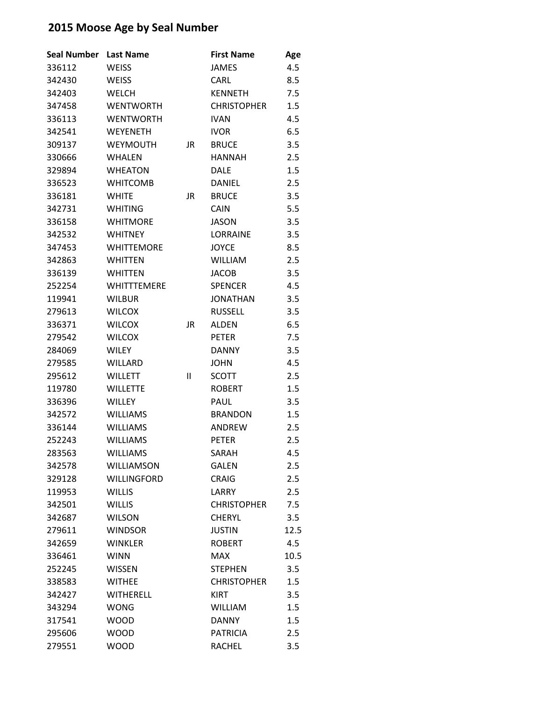| <b>Seal Number</b> | <b>Last Name</b>   |    | <b>First Name</b>  | Age  |
|--------------------|--------------------|----|--------------------|------|
| 336112             | <b>WEISS</b>       |    | <b>JAMES</b>       | 4.5  |
| 342430             | <b>WEISS</b>       |    | <b>CARL</b>        | 8.5  |
| 342403             | <b>WELCH</b>       |    | <b>KENNETH</b>     | 7.5  |
| 347458             | <b>WENTWORTH</b>   |    | <b>CHRISTOPHER</b> | 1.5  |
| 336113             | <b>WENTWORTH</b>   |    | <b>IVAN</b>        | 4.5  |
| 342541             | <b>WEYENETH</b>    |    | <b>IVOR</b>        | 6.5  |
| 309137             | <b>WEYMOUTH</b>    | JR | <b>BRUCE</b>       | 3.5  |
| 330666             | <b>WHALEN</b>      |    | <b>HANNAH</b>      | 2.5  |
| 329894             | <b>WHEATON</b>     |    | <b>DALE</b>        | 1.5  |
| 336523             | <b>WHITCOMB</b>    |    | <b>DANIEL</b>      | 2.5  |
| 336181             | <b>WHITE</b>       | JR | <b>BRUCE</b>       | 3.5  |
| 342731             | <b>WHITING</b>     |    | <b>CAIN</b>        | 5.5  |
| 336158             | <b>WHITMORE</b>    |    | <b>JASON</b>       | 3.5  |
| 342532             | <b>WHITNEY</b>     |    | <b>LORRAINE</b>    | 3.5  |
| 347453             | <b>WHITTEMORE</b>  |    | <b>JOYCE</b>       | 8.5  |
| 342863             | <b>WHITTEN</b>     |    | <b>WILLIAM</b>     | 2.5  |
| 336139             | <b>WHITTEN</b>     |    | <b>JACOB</b>       | 3.5  |
| 252254             | <b>WHITTTEMERE</b> |    | <b>SPENCER</b>     | 4.5  |
| 119941             | <b>WILBUR</b>      |    | <b>JONATHAN</b>    | 3.5  |
| 279613             | <b>WILCOX</b>      |    | <b>RUSSELL</b>     | 3.5  |
| 336371             | <b>WILCOX</b>      | JR | <b>ALDEN</b>       | 6.5  |
| 279542             | <b>WILCOX</b>      |    | <b>PETER</b>       | 7.5  |
| 284069             | <b>WILEY</b>       |    | <b>DANNY</b>       | 3.5  |
| 279585             | <b>WILLARD</b>     |    | JOHN               | 4.5  |
| 295612             | <b>WILLETT</b>     | Ш  | <b>SCOTT</b>       | 2.5  |
| 119780             | <b>WILLETTE</b>    |    | <b>ROBERT</b>      | 1.5  |
| 336396             | <b>WILLEY</b>      |    | PAUL               | 3.5  |
| 342572             | <b>WILLIAMS</b>    |    | <b>BRANDON</b>     | 1.5  |
| 336144             | <b>WILLIAMS</b>    |    | <b>ANDREW</b>      | 2.5  |
| 252243             | <b>WILLIAMS</b>    |    | <b>PETER</b>       | 2.5  |
| 283563             | <b>WILLIAMS</b>    |    | SARAH              | 4.5  |
| 342578             | <b>WILLIAMSON</b>  |    | <b>GALEN</b>       | 2.5  |
| 329128             | <b>WILLINGFORD</b> |    | <b>CRAIG</b>       | 2.5  |
| 119953             | <b>WILLIS</b>      |    | LARRY              | 2.5  |
| 342501             | <b>WILLIS</b>      |    | <b>CHRISTOPHER</b> | 7.5  |
| 342687             | <b>WILSON</b>      |    | <b>CHERYL</b>      | 3.5  |
| 279611             | <b>WINDSOR</b>     |    | <b>JUSTIN</b>      | 12.5 |
| 342659             | <b>WINKLER</b>     |    | <b>ROBERT</b>      | 4.5  |
| 336461             | <b>WINN</b>        |    | <b>MAX</b>         | 10.5 |
| 252245             | <b>WISSEN</b>      |    | <b>STEPHEN</b>     | 3.5  |
| 338583             | <b>WITHEE</b>      |    | <b>CHRISTOPHER</b> | 1.5  |
| 342427             | <b>WITHERELL</b>   |    | <b>KIRT</b>        | 3.5  |
| 343294             | <b>WONG</b>        |    | <b>WILLIAM</b>     | 1.5  |
| 317541             | <b>WOOD</b>        |    | <b>DANNY</b>       | 1.5  |
| 295606             | <b>WOOD</b>        |    | <b>PATRICIA</b>    | 2.5  |
| 279551             | <b>WOOD</b>        |    | <b>RACHEL</b>      | 3.5  |